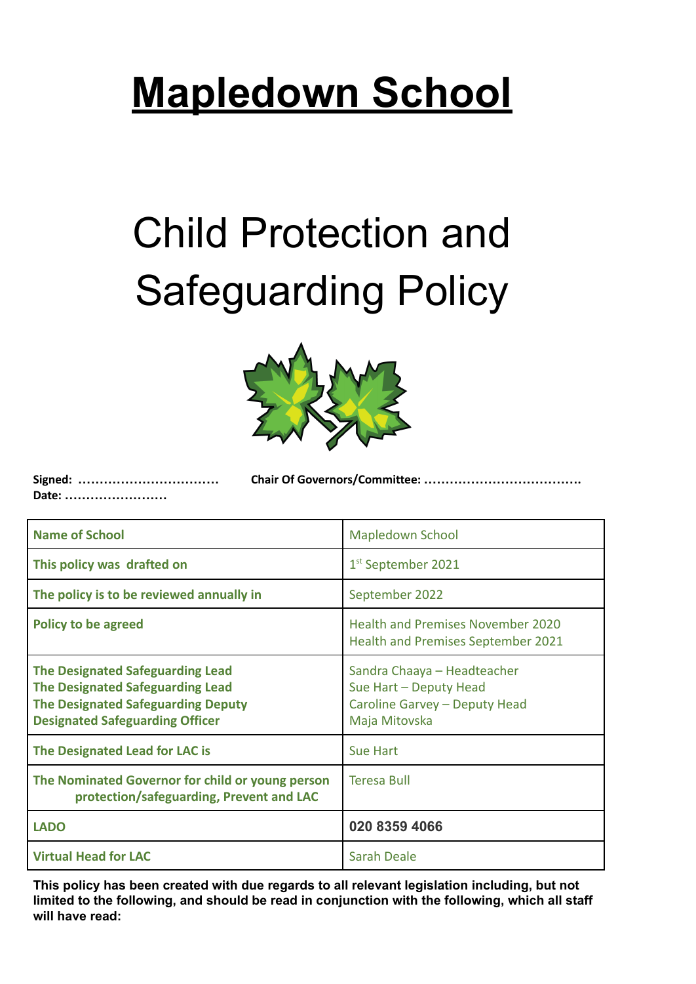# **Mapledown School**

# Child Protection and Safeguarding Policy



**Signed: …………………………… Chair Of Governors/Committee: ………………………………. Date: ……………………**

| <b>Name of School</b>                                                                                                                                                     | <b>Mapledown School</b>                                                                                 |
|---------------------------------------------------------------------------------------------------------------------------------------------------------------------------|---------------------------------------------------------------------------------------------------------|
| This policy was drafted on                                                                                                                                                | 1 <sup>st</sup> September 2021                                                                          |
| The policy is to be reviewed annually in                                                                                                                                  | September 2022                                                                                          |
| <b>Policy to be agreed</b>                                                                                                                                                | <b>Health and Premises November 2020</b><br><b>Health and Premises September 2021</b>                   |
| <b>The Designated Safeguarding Lead</b><br><b>The Designated Safeguarding Lead</b><br><b>The Designated Safeguarding Deputy</b><br><b>Designated Safeguarding Officer</b> | Sandra Chaaya - Headteacher<br>Sue Hart - Deputy Head<br>Caroline Garvey - Deputy Head<br>Maja Mitovska |
| <b>The Designated Lead for LAC is</b>                                                                                                                                     | <b>Sue Hart</b>                                                                                         |
| The Nominated Governor for child or young person<br>protection/safeguarding, Prevent and LAC                                                                              | <b>Teresa Bull</b>                                                                                      |
| <b>LADO</b>                                                                                                                                                               | 020 8359 4066                                                                                           |
| <b>Virtual Head for LAC</b>                                                                                                                                               | <b>Sarah Deale</b>                                                                                      |

**This policy has been created with due regards to all relevant legislation including, but not limited to the following, and should be read in conjunction with the following, which all staff will have read:**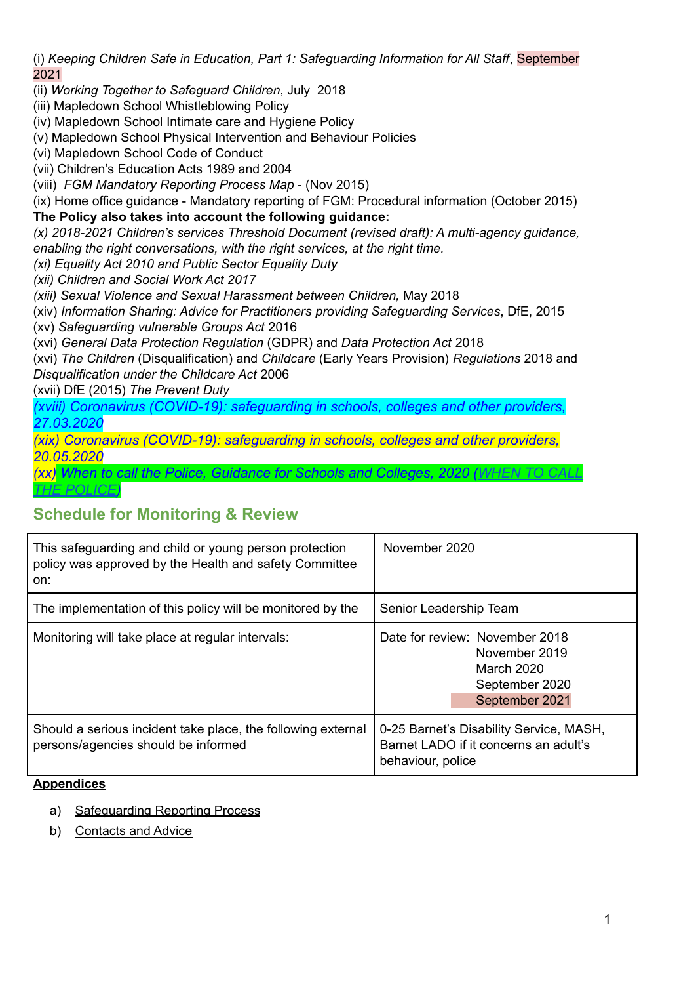(i) *Keeping Children Safe in Education, Part 1: Safeguarding Information for All Staff*, September 2021

(ii) *Working Together to Safeguard Children*, July 2018

(iii) Mapledown School Whistleblowing Policy

(iv) Mapledown School Intimate care and Hygiene Policy

(v) Mapledown School Physical Intervention and Behaviour Policies

(vi) Mapledown School Code of Conduct

(vii) Children's Education Acts 1989 and 2004

(viii) *FGM Mandatory Reporting Process Map* - (Nov 2015)

(ix) Home office guidance - Mandatory reporting of FGM: Procedural information (October 2015)

## **The Policy also takes into account the following guidance:**

*(x) 2018-2021 Children's services Threshold Document (revised draft): A multi-agency guidance, enabling the right conversations, with the right services, at the right time.*

*(xi) Equality Act 2010 and Public Sector Equality Duty*

*(xii) Children and Social Work Act 2017*

*(xiii) Sexual Violence and Sexual Harassment between Children,* May 2018

(xiv) *Information Sharing: Advice for Practitioners providing Safeguarding Services*, DfE, 2015

(xv) *Safeguarding vulnerable Groups Act* 2016

(xvi) *General Data Protection Regulation* (GDPR) and *Data Protection Act* 2018

(xvi) *The Children* (Disqualification) and *Childcare* (Early Years Provision) *Regulations* 2018 and *Disqualification under the Childcare Act* 2006

(xvii) DfE (2015) *The Prevent Duty*

*(xviii) Coronavirus (COVID-19): safeguarding in schools, colleges and other providers, 27.03.2020*

*(xix) Coronavirus (COVID-19): safeguarding in schools, colleges and other providers, 20.05.2020*

*(xx) When to call the Police, Guidance for Schools and Colleges, 2020 [\(WHEN TO CALL](https://www.npcc.police.uk/documents/Children%20and%20Young%20people/When%20to%20call%20police%20guidance%20for%20schools%20and%20colleges.pdf) [THE POLICE\)](https://www.npcc.police.uk/documents/Children%20and%20Young%20people/When%20to%20call%20police%20guidance%20for%20schools%20and%20colleges.pdf)*

## **Schedule for Monitoring & Review**

| This safeguarding and child or young person protection<br>policy was approved by the Health and safety Committee<br>on: | November 2020                                                                                         |
|-------------------------------------------------------------------------------------------------------------------------|-------------------------------------------------------------------------------------------------------|
| The implementation of this policy will be monitored by the                                                              | Senior Leadership Team                                                                                |
| Monitoring will take place at regular intervals:                                                                        | Date for review: November 2018<br>November 2019<br>March 2020<br>September 2020<br>September 2021     |
| Should a serious incident take place, the following external<br>persons/agencies should be informed                     | 0-25 Barnet's Disability Service, MASH,<br>Barnet LADO if it concerns an adult's<br>behaviour, police |

#### **Appendices**

- a) [Safeguarding](#page-31-0) Reporting Process
- b) Contacts and Advice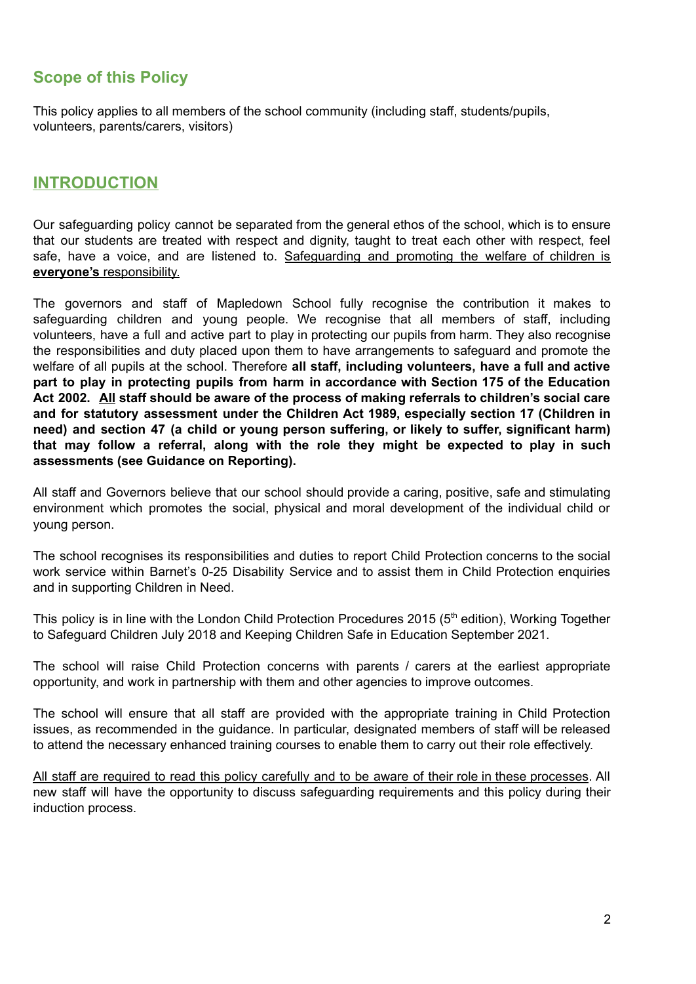# **Scope of this Policy**

This policy applies to all members of the school community (including staff, students/pupils, volunteers, parents/carers, visitors)

## **INTRODUCTION**

Our safeguarding policy cannot be separated from the general ethos of the school, which is to ensure that our students are treated with respect and dignity, taught to treat each other with respect, feel safe, have a voice, and are listened to. Safeguarding and promoting the welfare of children is **everyone's** responsibility.

The governors and staff of Mapledown School fully recognise the contribution it makes to safeguarding children and young people. We recognise that all members of staff, including volunteers, have a full and active part to play in protecting our pupils from harm. They also recognise the responsibilities and duty placed upon them to have arrangements to safeguard and promote the welfare of all pupils at the school. Therefore **all staff, including volunteers, have a full and active part to play in protecting pupils from harm in accordance with Section 175 of the Education Act 2002. All staff should be aware of the process of making referrals to children's social care and for statutory assessment under the Children Act 1989, especially section 17 (Children in need) and section 47 (a child or young person suffering, or likely to suffer, significant harm) that may follow a referral, along with the role they might be expected to play in such assessments (see Guidance on Reporting).**

All staff and Governors believe that our school should provide a caring, positive, safe and stimulating environment which promotes the social, physical and moral development of the individual child or young person.

The school recognises its responsibilities and duties to report Child Protection concerns to the social work service within Barnet's 0-25 Disability Service and to assist them in Child Protection enquiries and in supporting Children in Need.

This policy is in line with the London Child Protection Procedures 2015 (5<sup>th</sup> edition), Working Together to Safeguard Children July 2018 and Keeping Children Safe in Education September 2021.

The school will raise Child Protection concerns with parents / carers at the earliest appropriate opportunity, and work in partnership with them and other agencies to improve outcomes.

The school will ensure that all staff are provided with the appropriate training in Child Protection issues, as recommended in the guidance. In particular, designated members of staff will be released to attend the necessary enhanced training courses to enable them to carry out their role effectively.

All staff are required to read this policy carefully and to be aware of their role in these processes. All new staff will have the opportunity to discuss safeguarding requirements and this policy during their induction process.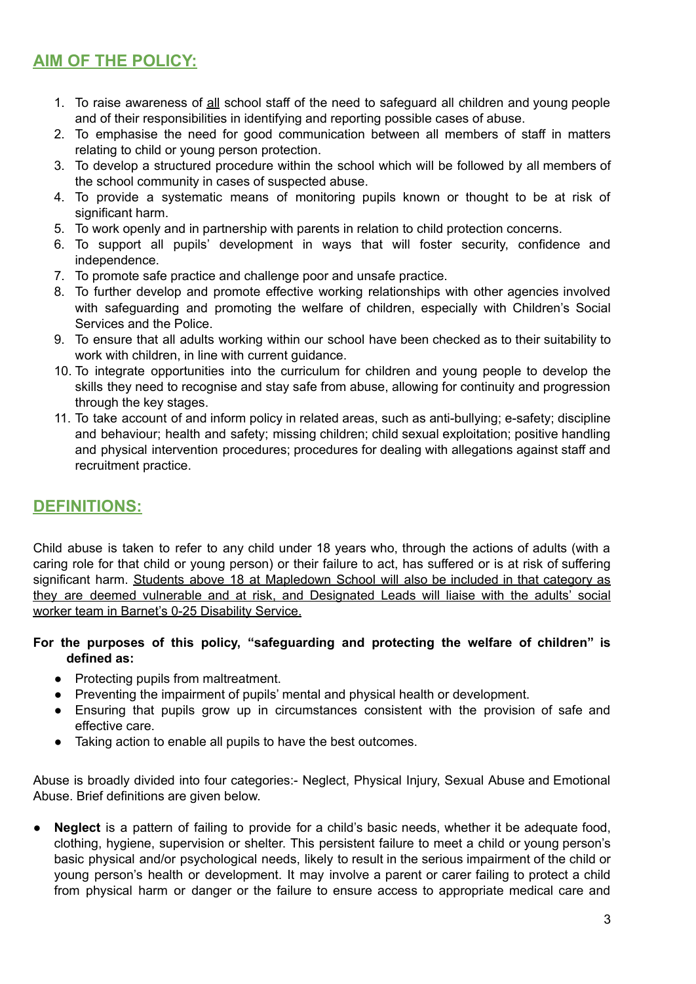# **AIM OF THE POLICY:**

- 1. To raise awareness of all school staff of the need to safeguard all children and young people and of their responsibilities in identifying and reporting possible cases of abuse.
- 2. To emphasise the need for good communication between all members of staff in matters relating to child or young person protection.
- 3. To develop a structured procedure within the school which will be followed by all members of the school community in cases of suspected abuse.
- 4. To provide a systematic means of monitoring pupils known or thought to be at risk of significant harm.
- 5. To work openly and in partnership with parents in relation to child protection concerns.
- 6. To support all pupils' development in ways that will foster security, confidence and independence.
- 7. To promote safe practice and challenge poor and unsafe practice.
- 8. To further develop and promote effective working relationships with other agencies involved with safeguarding and promoting the welfare of children, especially with Children's Social Services and the Police.
- 9. To ensure that all adults working within our school have been checked as to their suitability to work with children, in line with current guidance.
- 10. To integrate opportunities into the curriculum for children and young people to develop the skills they need to recognise and stay safe from abuse, allowing for continuity and progression through the key stages.
- 11. To take account of and inform policy in related areas, such as anti-bullying; e-safety; discipline and behaviour; health and safety; missing children; child sexual exploitation; positive handling and physical intervention procedures; procedures for dealing with allegations against staff and recruitment practice.

## **DEFINITIONS:**

Child abuse is taken to refer to any child under 18 years who, through the actions of adults (with a caring role for that child or young person) or their failure to act, has suffered or is at risk of suffering significant harm. Students above 18 at Mapledown School will also be included in that category as they are deemed vulnerable and at risk, and Designated Leads will liaise with the adults' social worker team in Barnet's 0-25 Disability Service.

#### **For the purposes of this policy, "safeguarding and protecting the welfare of children" is defined as:**

- Protecting pupils from maltreatment.
- Preventing the impairment of pupils' mental and physical health or development.
- Ensuring that pupils grow up in circumstances consistent with the provision of safe and effective care.
- Taking action to enable all pupils to have the best outcomes.

Abuse is broadly divided into four categories:- Neglect, Physical Injury, Sexual Abuse and Emotional Abuse. Brief definitions are given below.

● **Neglect** is a pattern of failing to provide for a child's basic needs, whether it be adequate food, clothing, hygiene, supervision or shelter. This persistent failure to meet a child or young person's basic physical and/or psychological needs, likely to result in the serious impairment of the child or young person's health or development. It may involve a parent or carer failing to protect a child from physical harm or danger or the failure to ensure access to appropriate medical care and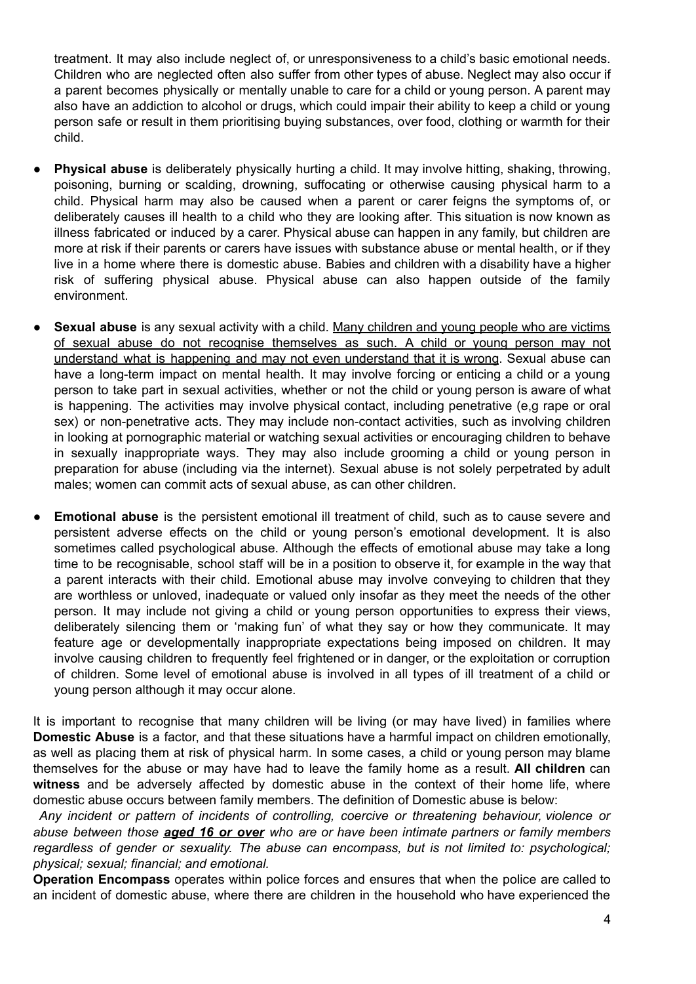treatment. It may also include neglect of, or unresponsiveness to a child's basic emotional needs. Children who are neglected often also suffer from other types of abuse. Neglect may also occur if a parent becomes physically or mentally unable to care for a child or young person. A parent may also have an addiction to alcohol or drugs, which could impair their ability to keep a child or young person safe or result in them prioritising buying substances, over food, clothing or warmth for their child.

- **Physical abuse** is deliberately physically hurting a child. It may involve hitting, shaking, throwing, poisoning, burning or scalding, drowning, suffocating or otherwise causing physical harm to a child. Physical harm may also be caused when a parent or carer feigns the symptoms of, or deliberately causes ill health to a child who they are looking after. This situation is now known as illness fabricated or induced by a carer. Physical abuse can happen in any family, but children are more at risk if their parents or carers have issues with substance abuse or mental health, or if they live in a home where there is domestic abuse. Babies and children with a disability have a higher risk of suffering physical abuse. Physical abuse can also happen outside of the family environment.
- **Sexual abuse** is any sexual activity with a child. Many children and young people who are victims of sexual abuse do not recognise themselves as such. A child or young person may not understand what is happening and may not even understand that it is wrong. Sexual abuse can have a long-term impact on mental health. It may involve forcing or enticing a child or a young person to take part in sexual activities, whether or not the child or young person is aware of what is happening. The activities may involve physical contact, including penetrative (e,g rape or oral sex) or non-penetrative acts. They may include non-contact activities, such as involving children in looking at pornographic material or watching sexual activities or encouraging children to behave in sexually inappropriate ways. They may also include grooming a child or young person in preparation for abuse (including via the internet). Sexual abuse is not solely perpetrated by adult males; women can commit acts of sexual abuse, as can other children.
- **Emotional abuse** is the persistent emotional ill treatment of child, such as to cause severe and persistent adverse effects on the child or young person's emotional development. It is also sometimes called psychological abuse. Although the effects of emotional abuse may take a long time to be recognisable, school staff will be in a position to observe it, for example in the way that a parent interacts with their child. Emotional abuse may involve conveying to children that they are worthless or unloved, inadequate or valued only insofar as they meet the needs of the other person. It may include not giving a child or young person opportunities to express their views, deliberately silencing them or 'making fun' of what they say or how they communicate. It may feature age or developmentally inappropriate expectations being imposed on children. It may involve causing children to frequently feel frightened or in danger, or the exploitation or corruption of children. Some level of emotional abuse is involved in all types of ill treatment of a child or young person although it may occur alone.

It is important to recognise that many children will be living (or may have lived) in families where **Domestic Abuse** is a factor, and that these situations have a harmful impact on children emotionally, as well as placing them at risk of physical harm. In some cases, a child or young person may blame themselves for the abuse or may have had to leave the family home as a result. **All children** can **witness** and be adversely affected by domestic abuse in the context of their home life, where domestic abuse occurs between family members. The definition of Domestic abuse is below:

*Any incident or pattern of incidents of controlling, coercive or threatening behaviour, violence or abuse between those aged 16 or over who are or have been intimate partners or family members regardless of gender or sexuality. The abuse can encompass, but is not limited to: psychological; physical; sexual; financial; and emotional.*

**Operation Encompass** operates within police forces and ensures that when the police are called to an incident of domestic abuse, where there are children in the household who have experienced the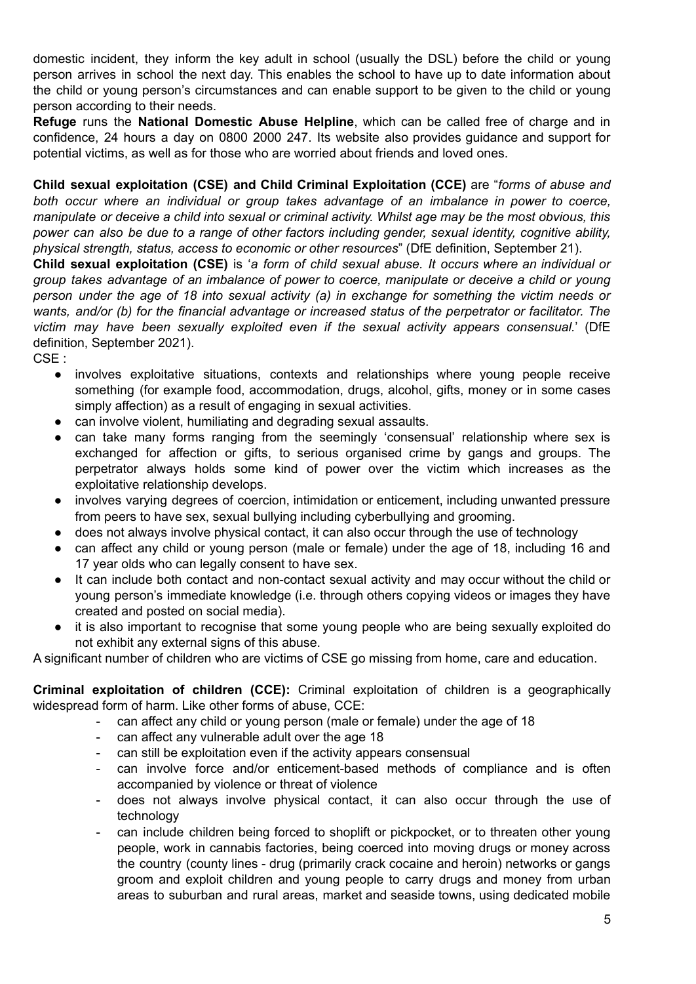domestic incident, they inform the key adult in school (usually the DSL) before the child or young person arrives in school the next day. This enables the school to have up to date information about the child or young person's circumstances and can enable support to be given to the child or young person according to their needs.

**Refuge** runs the **National Domestic Abuse Helpline**, which can be called free of charge and in confidence, 24 hours a day on 0800 2000 247. Its website also provides guidance and support for potential victims, as well as for those who are worried about friends and loved ones.

**Child sexual exploitation (CSE) and Child Criminal Exploitation (CCE)** are "*forms of abuse and both occur where an individual or group takes advantage of an imbalance in power to coerce,* manipulate or deceive a child into sexual or criminal activity. Whilst age may be the most obvious, this *power can also be due to a range of other factors including gender, sexual identity, cognitive ability, physical strength, status, access to economic or other resources*" (DfE definition, September 21).

**Child sexual exploitation (CSE)** is '*a form of child sexual abuse. It occurs where an individual or group takes advantage of an imbalance of power to coerce, manipulate or deceive a child or young person under the age of 18 into sexual activity (a) in exchange for something the victim needs or wants, and/or (b) for the financial advantage or increased status of the perpetrator or facilitator. The victim may have been sexually exploited even if the sexual activity appears consensual.*' (DfE definition, September 2021).

CSE :

- involves exploitative situations, contexts and relationships where young people receive something (for example food, accommodation, drugs, alcohol, gifts, money or in some cases simply affection) as a result of engaging in sexual activities.
- can involve violent, humiliating and degrading sexual assaults.
- can take many forms ranging from the seemingly 'consensual' relationship where sex is exchanged for affection or gifts, to serious organised crime by gangs and groups. The perpetrator always holds some kind of power over the victim which increases as the exploitative relationship develops.
- involves varying degrees of coercion, intimidation or enticement, including unwanted pressure from peers to have sex, sexual bullying including cyberbullying and grooming.
- does not always involve physical contact, it can also occur through the use of technology
- can affect any child or young person (male or female) under the age of 18, including 16 and 17 year olds who can legally consent to have sex.
- It can include both contact and non-contact sexual activity and may occur without the child or young person's immediate knowledge (i.e. through others copying videos or images they have created and posted on social media).
- it is also important to recognise that some young people who are being sexually exploited do not exhibit any external signs of this abuse.

A significant number of children who are victims of CSE go missing from home, care and education.

**Criminal exploitation of children (CCE):** Criminal exploitation of children is a geographically widespread form of harm. Like other forms of abuse, CCE:

- can affect any child or young person (male or female) under the age of 18
- can affect any vulnerable adult over the age 18
- can still be exploitation even if the activity appears consensual
- can involve force and/or enticement-based methods of compliance and is often accompanied by violence or threat of violence
- does not always involve physical contact, it can also occur through the use of technology
- can include children being forced to shoplift or pickpocket, or to threaten other young people, work in cannabis factories, being coerced into moving drugs or money across the country (county lines - drug (primarily crack cocaine and heroin) networks or gangs groom and exploit children and young people to carry drugs and money from urban areas to suburban and rural areas, market and seaside towns, using dedicated mobile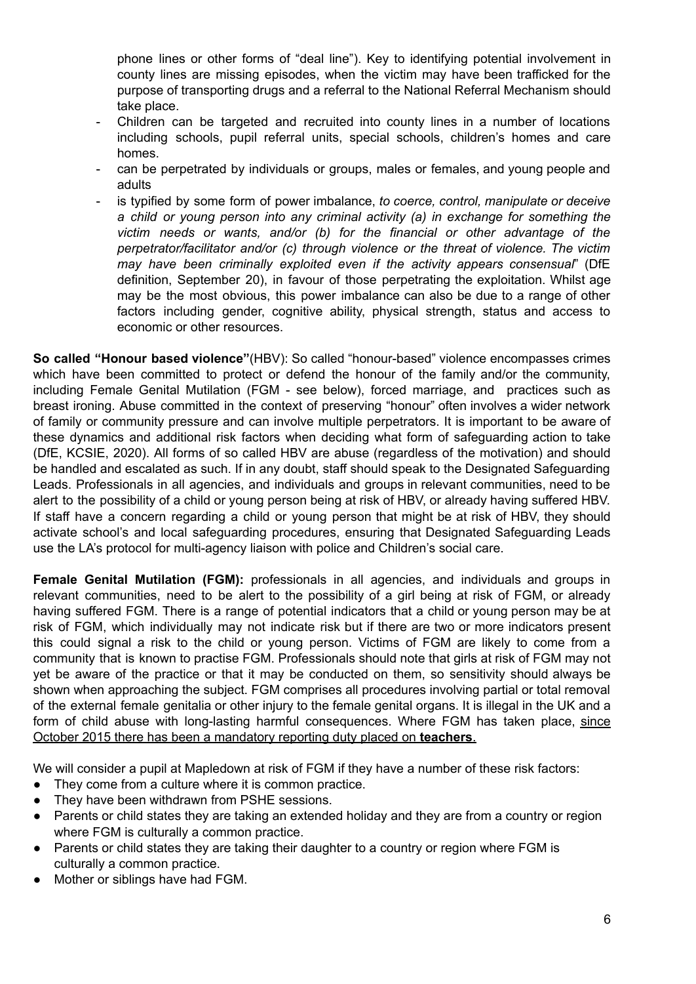phone lines or other forms of "deal line"). Key to identifying potential involvement in county lines are missing episodes, when the victim may have been trafficked for the purpose of transporting drugs and a referral to the National Referral Mechanism should take place.

- Children can be targeted and recruited into county lines in a number of locations including schools, pupil referral units, special schools, children's homes and care homes.
- can be perpetrated by individuals or groups, males or females, and young people and adults
- is typified by some form of power imbalance, *to coerce, control, manipulate or deceive a child or young person into any criminal activity (a) in exchange for something the victim needs or wants, and/or (b) for the financial or other advantage of the perpetrator/facilitator and/or (c) through violence or the threat of violence. The victim may have been criminally exploited even if the activity appears consensual*" (DfE definition, September 20), in favour of those perpetrating the exploitation. Whilst age may be the most obvious, this power imbalance can also be due to a range of other factors including gender, cognitive ability, physical strength, status and access to economic or other resources.

**So called "Honour based violence"**(HBV): So called "honour-based" violence encompasses crimes which have been committed to protect or defend the honour of the family and/or the community, including Female Genital Mutilation (FGM - see below), forced marriage, and practices such as breast ironing. Abuse committed in the context of preserving "honour" often involves a wider network of family or community pressure and can involve multiple perpetrators. It is important to be aware of these dynamics and additional risk factors when deciding what form of safeguarding action to take (DfE, KCSIE, 2020). All forms of so called HBV are abuse (regardless of the motivation) and should be handled and escalated as such. If in any doubt, staff should speak to the Designated Safeguarding Leads. Professionals in all agencies, and individuals and groups in relevant communities, need to be alert to the possibility of a child or young person being at risk of HBV, or already having suffered HBV. If staff have a concern regarding a child or young person that might be at risk of HBV, they should activate school's and local safeguarding procedures, ensuring that Designated Safeguarding Leads use the LA's protocol for multi-agency liaison with police and Children's social care.

**Female Genital Mutilation (FGM):** professionals in all agencies, and individuals and groups in relevant communities, need to be alert to the possibility of a girl being at risk of FGM, or already having suffered FGM. There is a range of potential indicators that a child or young person may be at risk of FGM, which individually may not indicate risk but if there are two or more indicators present this could signal a risk to the child or young person. Victims of FGM are likely to come from a community that is known to practise FGM. Professionals should note that girls at risk of FGM may not yet be aware of the practice or that it may be conducted on them, so sensitivity should always be shown when approaching the subject. FGM comprises all procedures involving partial or total removal of the external female genitalia or other injury to the female genital organs. It is illegal in the UK and a form of child abuse with long-lasting harmful consequences. Where FGM has taken place, since October 2015 there has been a mandatory reporting duty placed on **teachers**.

We will consider a pupil at Mapledown at risk of FGM if they have a number of these risk factors:

- They come from a culture where it is common practice.
- They have been withdrawn from PSHE sessions.
- Parents or child states they are taking an extended holiday and they are from a country or region where FGM is culturally a common practice.
- Parents or child states they are taking their daughter to a country or region where FGM is culturally a common practice.
- Mother or siblings have had FGM.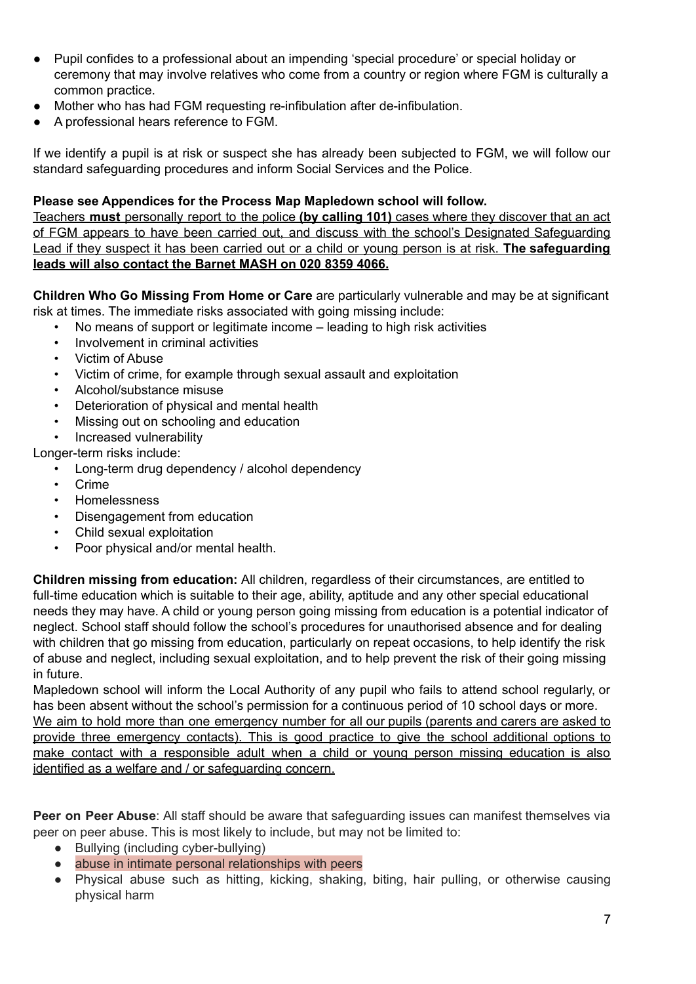- Pupil confides to a professional about an impending 'special procedure' or special holiday or ceremony that may involve relatives who come from a country or region where FGM is culturally a common practice.
- Mother who has had FGM requesting re-infibulation after de-infibulation.
- A professional hears reference to FGM.

If we identify a pupil is at risk or suspect she has already been subjected to FGM, we will follow our standard safeguarding procedures and inform Social Services and the Police.

## **Please see Appendices for the Process Map Mapledown school will follow.**

Teachers **must** personally report to the police **(by calling 101)** cases where they discover that an act of FGM appears to have been carried out, and discuss with the school's Designated Safeguarding Lead if they suspect it has been carried out or a child or young person is at risk. **The safeguarding leads will also contact the Barnet MASH on 020 8359 4066.**

**Children Who Go Missing From Home or Care** are particularly vulnerable and may be at significant risk at times. The immediate risks associated with going missing include:

- No means of support or legitimate income leading to high risk activities
- Involvement in criminal activities
- Victim of Abuse
- Victim of crime, for example through sexual assault and exploitation
- Alcohol/substance misuse
- Deterioration of physical and mental health
- Missing out on schooling and education
- Increased vulnerability

Longer-term risks include:

- Long-term drug dependency / alcohol dependency
- Crime
- Homelessness
- Disengagement from education
- Child sexual exploitation
- Poor physical and/or mental health.

**Children missing from education:** All children, regardless of their circumstances, are entitled to full-time education which is suitable to their age, ability, aptitude and any other special educational needs they may have. A child or young person going missing from education is a potential indicator of neglect. School staff should follow the school's procedures for unauthorised absence and for dealing with children that go missing from education, particularly on repeat occasions, to help identify the risk of abuse and neglect, including sexual exploitation, and to help prevent the risk of their going missing in future.

Mapledown school will inform the Local Authority of any pupil who fails to attend school regularly, or has been absent without the school's permission for a continuous period of 10 school days or more. We aim to hold more than one emergency number for all our pupils (parents and carers are asked to provide three emergency contacts). This is good practice to give the school additional options to make contact with a responsible adult when a child or young person missing education is also identified as a welfare and / or safeguarding concern.

**Peer on Peer Abuse**: All staff should be aware that safeguarding issues can manifest themselves via peer on peer abuse. This is most likely to include, but may not be limited to:

- Bullying (including cyber-bullying)
- abuse in intimate personal relationships with peers
- Physical abuse such as hitting, kicking, shaking, biting, hair pulling, or otherwise causing physical harm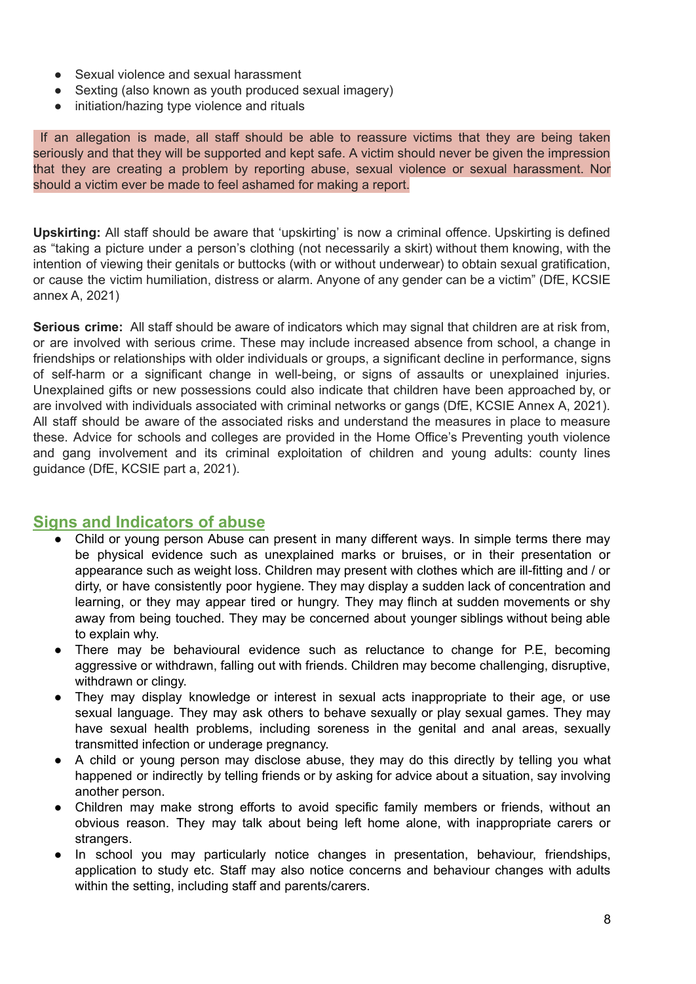- Sexual violence and sexual harassment
- Sexting (also known as youth produced sexual imagery)
- initiation/hazing type violence and rituals

If an allegation is made, all staff should be able to reassure victims that they are being taken seriously and that they will be supported and kept safe. A victim should never be given the impression that they are creating a problem by reporting abuse, sexual violence or sexual harassment. Nor should a victim ever be made to feel ashamed for making a report.

**Upskirting:** All staff should be aware that 'upskirting' is now a criminal offence. Upskirting is defined as "taking a picture under a person's clothing (not necessarily a skirt) without them knowing, with the intention of viewing their genitals or buttocks (with or without underwear) to obtain sexual gratification, or cause the victim humiliation, distress or alarm. Anyone of any gender can be a victim" (DfE, KCSIE annex A, 2021)

**Serious crime:** All staff should be aware of indicators which may signal that children are at risk from, or are involved with serious crime. These may include increased absence from school, a change in friendships or relationships with older individuals or groups, a significant decline in performance, signs of self-harm or a significant change in well-being, or signs of assaults or unexplained injuries. Unexplained gifts or new possessions could also indicate that children have been approached by, or are involved with individuals associated with criminal networks or gangs (DfE, KCSIE Annex A, 2021). All staff should be aware of the associated risks and understand the measures in place to measure these. Advice for schools and colleges are provided in the Home Office's Preventing youth violence and gang involvement and its criminal exploitation of children and young adults: county lines guidance (DfE, KCSIE part a, 2021).

## **Signs and Indicators of abuse**

- Child or young person Abuse can present in many different ways. In simple terms there may be physical evidence such as unexplained marks or bruises, or in their presentation or appearance such as weight loss. Children may present with clothes which are ill-fitting and / or dirty, or have consistently poor hygiene. They may display a sudden lack of concentration and learning, or they may appear tired or hungry. They may flinch at sudden movements or shy away from being touched. They may be concerned about younger siblings without being able to explain why.
- There may be behavioural evidence such as reluctance to change for P.E, becoming aggressive or withdrawn, falling out with friends. Children may become challenging, disruptive, withdrawn or clingy.
- They may display knowledge or interest in sexual acts inappropriate to their age, or use sexual language. They may ask others to behave sexually or play sexual games. They may have sexual health problems, including soreness in the genital and anal areas, sexually transmitted infection or underage pregnancy.
- A child or young person may disclose abuse, they may do this directly by telling you what happened or indirectly by telling friends or by asking for advice about a situation, say involving another person.
- Children may make strong efforts to avoid specific family members or friends, without an obvious reason. They may talk about being left home alone, with inappropriate carers or strangers.
- In school you may particularly notice changes in presentation, behaviour, friendships, application to study etc. Staff may also notice concerns and behaviour changes with adults within the setting, including staff and parents/carers.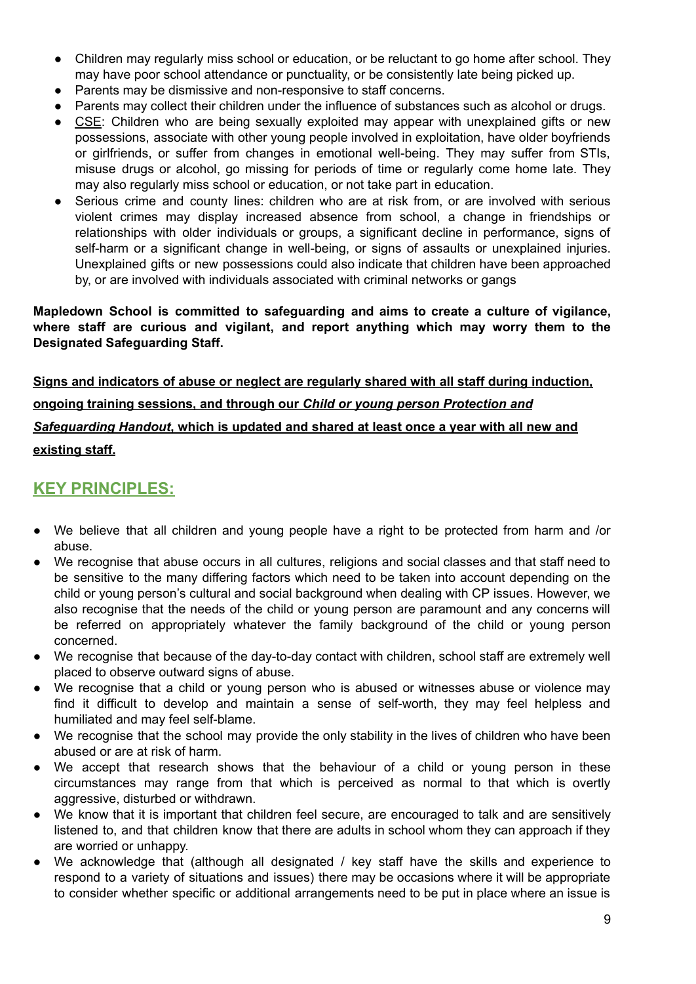- Children may regularly miss school or education, or be reluctant to go home after school. They may have poor school attendance or punctuality, or be consistently late being picked up.
- Parents may be dismissive and non-responsive to staff concerns.
- Parents may collect their children under the influence of substances such as alcohol or drugs.
- CSE: Children who are being sexually exploited may appear with unexplained gifts or new possessions, associate with other young people involved in exploitation, have older boyfriends or girlfriends, or suffer from changes in emotional well-being. They may suffer from STIs, misuse drugs or alcohol, go missing for periods of time or regularly come home late. They may also regularly miss school or education, or not take part in education.
- Serious crime and county lines: children who are at risk from, or are involved with serious violent crimes may display increased absence from school, a change in friendships or relationships with older individuals or groups, a significant decline in performance, signs of self-harm or a significant change in well-being, or signs of assaults or unexplained injuries. Unexplained gifts or new possessions could also indicate that children have been approached by, or are involved with individuals associated with criminal networks or gangs

#### **Mapledown School is committed to safeguarding and aims to create a culture of vigilance, where staff are curious and vigilant, and report anything which may worry them to the Designated Safeguarding Staff.**

**Signs and indicators of abuse or neglect are regularly shared with all staff during induction, ongoing training sessions, and through our** *Child or young person Protection and Safeguarding Handout***, which is updated and shared at least once a year with all new and existing staff.**

## **KEY PRINCIPLES:**

- We believe that all children and young people have a right to be protected from harm and /or abuse.
- We recognise that abuse occurs in all cultures, religions and social classes and that staff need to be sensitive to the many differing factors which need to be taken into account depending on the child or young person's cultural and social background when dealing with CP issues. However, we also recognise that the needs of the child or young person are paramount and any concerns will be referred on appropriately whatever the family background of the child or young person concerned.
- We recognise that because of the day-to-day contact with children, school staff are extremely well placed to observe outward signs of abuse.
- We recognise that a child or young person who is abused or witnesses abuse or violence may find it difficult to develop and maintain a sense of self-worth, they may feel helpless and humiliated and may feel self-blame.
- We recognise that the school may provide the only stability in the lives of children who have been abused or are at risk of harm.
- We accept that research shows that the behaviour of a child or young person in these circumstances may range from that which is perceived as normal to that which is overtly aggressive, disturbed or withdrawn.
- We know that it is important that children feel secure, are encouraged to talk and are sensitively listened to, and that children know that there are adults in school whom they can approach if they are worried or unhappy.
- We acknowledge that (although all designated / key staff have the skills and experience to respond to a variety of situations and issues) there may be occasions where it will be appropriate to consider whether specific or additional arrangements need to be put in place where an issue is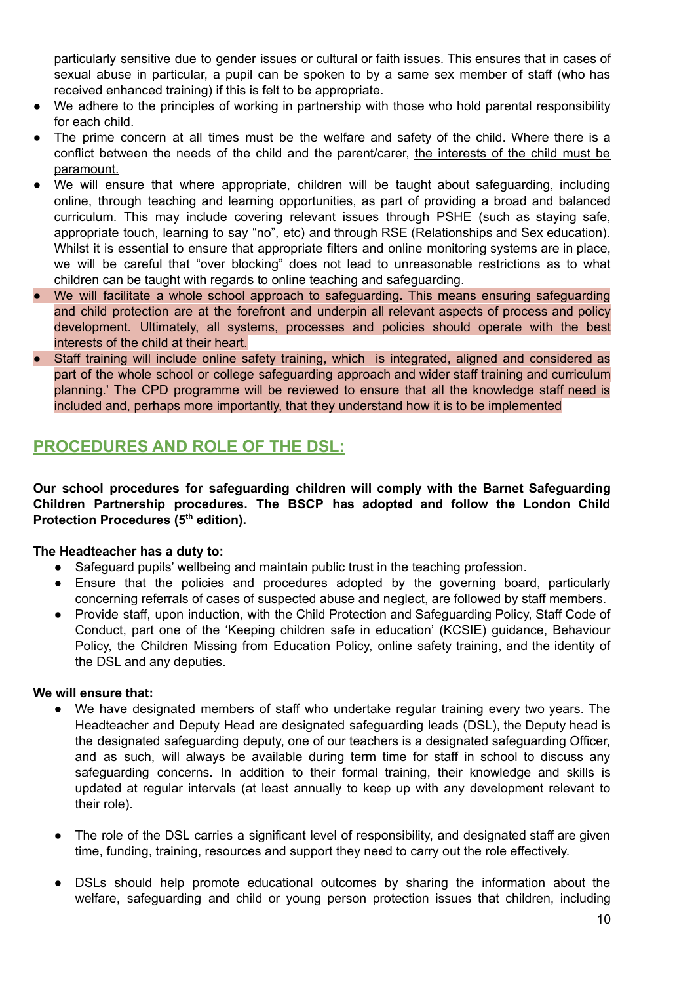particularly sensitive due to gender issues or cultural or faith issues. This ensures that in cases of sexual abuse in particular, a pupil can be spoken to by a same sex member of staff (who has received enhanced training) if this is felt to be appropriate.

- We adhere to the principles of working in partnership with those who hold parental responsibility for each child.
- The prime concern at all times must be the welfare and safety of the child. Where there is a conflict between the needs of the child and the parent/carer, the interests of the child must be paramount.
- We will ensure that where appropriate, children will be taught about safeguarding, including online, through teaching and learning opportunities, as part of providing a broad and balanced curriculum. This may include covering relevant issues through PSHE (such as staying safe, appropriate touch, learning to say "no", etc) and through RSE (Relationships and Sex education). Whilst it is essential to ensure that appropriate filters and online monitoring systems are in place, we will be careful that "over blocking" does not lead to unreasonable restrictions as to what children can be taught with regards to online teaching and safeguarding.
- We will facilitate a whole school approach to safeguarding. This means ensuring safeguarding and child protection are at the forefront and underpin all relevant aspects of process and policy development. Ultimately, all systems, processes and policies should operate with the best interests of the child at their heart.
- Staff training will include online safety training, which is integrated, aligned and considered as part of the whole school or college safeguarding approach and wider staff training and curriculum planning.' The CPD programme will be reviewed to ensure that all the knowledge staff need is included and, perhaps more importantly, that they understand how it is to be implemented

# **PROCEDURES AND ROLE OF THE DSL:**

**Our school procedures for safeguarding children will comply with the Barnet Safeguarding Children Partnership procedures. The BSCP has adopted and follow the London Child Protection Procedures (5 th edition).**

## **The Headteacher has a duty to:**

- Safeguard pupils' wellbeing and maintain public trust in the teaching profession.
- Ensure that the policies and procedures adopted by the governing board, particularly concerning referrals of cases of suspected abuse and neglect, are followed by staff members.
- Provide staff, upon induction, with the Child Protection and Safeguarding Policy, Staff Code of Conduct, part one of the 'Keeping children safe in education' (KCSIE) guidance, Behaviour Policy, the Children Missing from Education Policy, online safety training, and the identity of the DSL and any deputies.

## **We will ensure that:**

- We have designated members of staff who undertake regular training every two years. The Headteacher and Deputy Head are designated safeguarding leads (DSL), the Deputy head is the designated safeguarding deputy, one of our teachers is a designated safeguarding Officer, and as such, will always be available during term time for staff in school to discuss any safeguarding concerns. In addition to their formal training, their knowledge and skills is updated at regular intervals (at least annually to keep up with any development relevant to their role).
- The role of the DSL carries a significant level of responsibility, and designated staff are given time, funding, training, resources and support they need to carry out the role effectively.
- DSLs should help promote educational outcomes by sharing the information about the welfare, safeguarding and child or young person protection issues that children, including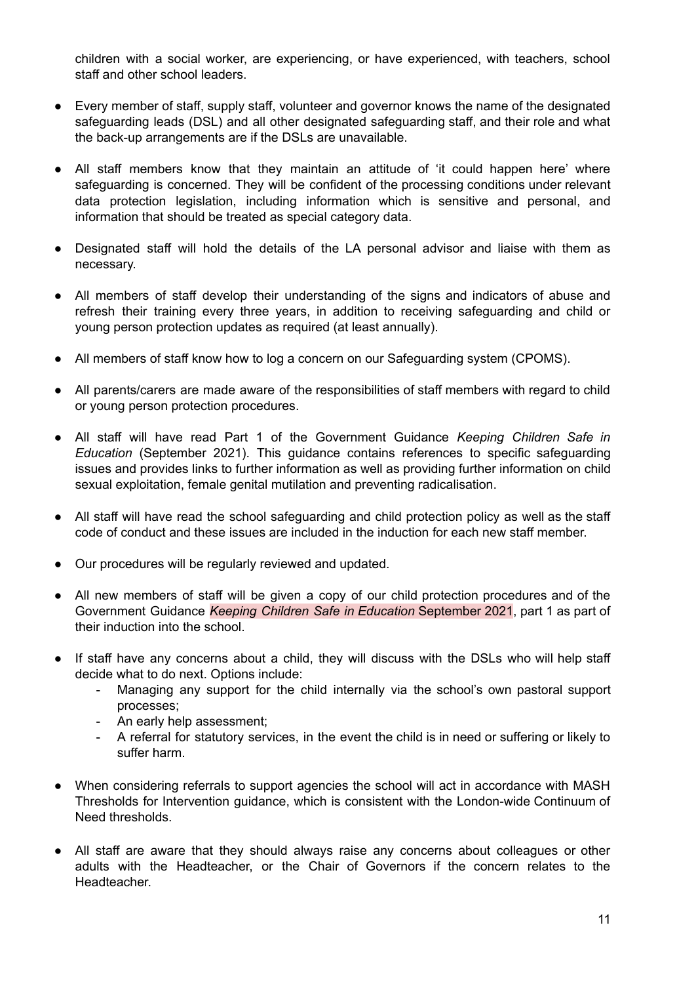children with a social worker, are experiencing, or have experienced, with teachers, school staff and other school leaders.

- Every member of staff, supply staff, volunteer and governor knows the name of the designated safeguarding leads (DSL) and all other designated safeguarding staff, and their role and what the back-up arrangements are if the DSLs are unavailable.
- All staff members know that they maintain an attitude of 'it could happen here' where safeguarding is concerned. They will be confident of the processing conditions under relevant data protection legislation, including information which is sensitive and personal, and information that should be treated as special category data.
- Designated staff will hold the details of the LA personal advisor and liaise with them as necessary.
- All members of staff develop their understanding of the signs and indicators of abuse and refresh their training every three years, in addition to receiving safeguarding and child or young person protection updates as required (at least annually).
- All members of staff know how to log a concern on our Safeguarding system (CPOMS).
- All parents/carers are made aware of the responsibilities of staff members with regard to child or young person protection procedures.
- All staff will have read Part 1 of the Government Guidance *Keeping Children Safe in Education* (September 2021). This guidance contains references to specific safeguarding issues and provides links to further information as well as providing further information on child sexual exploitation, female genital mutilation and preventing radicalisation.
- All staff will have read the school safeguarding and child protection policy as well as the staff code of conduct and these issues are included in the induction for each new staff member.
- Our procedures will be regularly reviewed and updated.
- All new members of staff will be given a copy of our child protection procedures and of the Government Guidance *Keeping Children Safe in Education* September 2021, part 1 as part of their induction into the school.
- If staff have any concerns about a child, they will discuss with the DSLs who will help staff decide what to do next. Options include:
	- Managing any support for the child internally via the school's own pastoral support processes;
	- An early help assessment;
	- A referral for statutory services, in the event the child is in need or suffering or likely to suffer harm.
- When considering referrals to support agencies the school will act in accordance with MASH Thresholds for Intervention guidance, which is consistent with the London-wide Continuum of Need thresholds.
- All staff are aware that they should always raise any concerns about colleagues or other adults with the Headteacher, or the Chair of Governors if the concern relates to the Headteacher.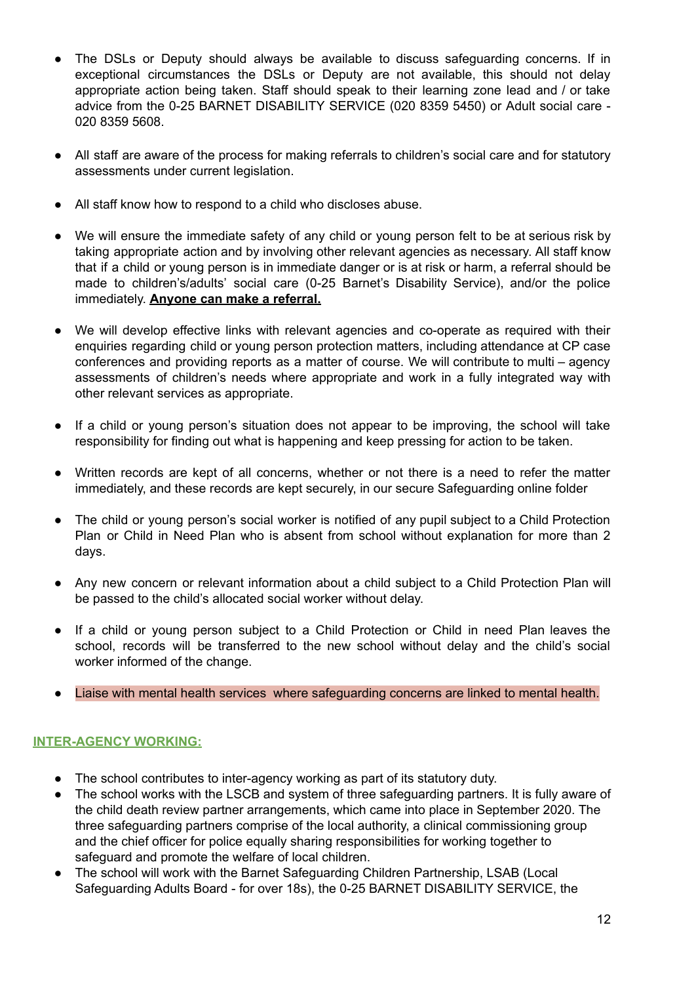- The DSLs or Deputy should always be available to discuss safeguarding concerns. If in exceptional circumstances the DSLs or Deputy are not available, this should not delay appropriate action being taken. Staff should speak to their learning zone lead and / or take advice from the 0-25 BARNET DISABILITY SERVICE (020 8359 5450) or Adult social care - 020 8359 5608.
- All staff are aware of the process for making referrals to children's social care and for statutory assessments under current legislation.
- All staff know how to respond to a child who discloses abuse.
- We will ensure the immediate safety of any child or young person felt to be at serious risk by taking appropriate action and by involving other relevant agencies as necessary. All staff know that if a child or young person is in immediate danger or is at risk or harm, a referral should be made to children's/adults' social care (0-25 Barnet's Disability Service), and/or the police immediately. **Anyone can make a referral.**
- We will develop effective links with relevant agencies and co-operate as required with their enquiries regarding child or young person protection matters, including attendance at CP case conferences and providing reports as a matter of course. We will contribute to multi – agency assessments of children's needs where appropriate and work in a fully integrated way with other relevant services as appropriate.
- If a child or young person's situation does not appear to be improving, the school will take responsibility for finding out what is happening and keep pressing for action to be taken.
- Written records are kept of all concerns, whether or not there is a need to refer the matter immediately, and these records are kept securely, in our secure Safeguarding online folder
- The child or young person's social worker is notified of any pupil subject to a Child Protection Plan or Child in Need Plan who is absent from school without explanation for more than 2 days.
- Any new concern or relevant information about a child subject to a Child Protection Plan will be passed to the child's allocated social worker without delay.
- If a child or young person subject to a Child Protection or Child in need Plan leaves the school, records will be transferred to the new school without delay and the child's social worker informed of the change.
- Liaise with mental health services where safeguarding concerns are linked to mental health.

## **INTER-AGENCY WORKING:**

- The school contributes to inter-agency working as part of its statutory duty.
- The school works with the LSCB and system of three safeguarding partners. It is fully aware of the child death review partner arrangements, which came into place in September 2020. The three safeguarding partners comprise of the local authority, a clinical commissioning group and the chief officer for police equally sharing responsibilities for working together to safeguard and promote the welfare of local children.
- The school will work with the Barnet Safeguarding Children Partnership, LSAB (Local Safeguarding Adults Board - for over 18s), the 0-25 BARNET DISABILITY SERVICE, the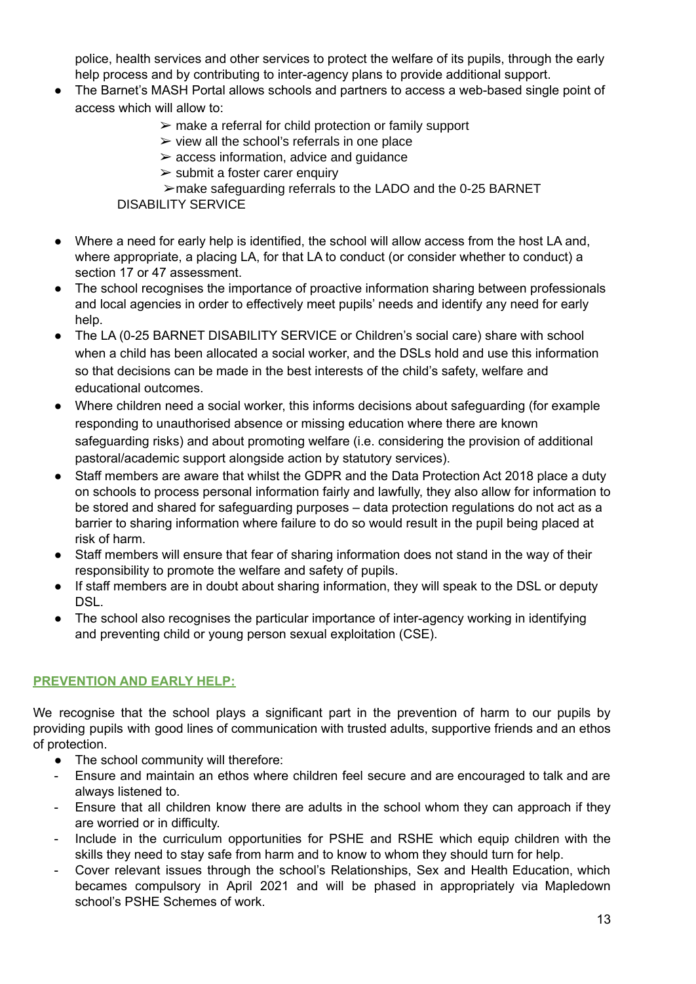police, health services and other services to protect the welfare of its pupils, through the early help process and by contributing to inter-agency plans to provide additional support.

- The Barnet's MASH Portal allows schools and partners to access a web-based single point of access which will allow to:
	- $\triangleright$  make a referral for child protection or family support
	- $\triangleright$  view all the school's referrals in one place
	- $\geq$  access information, advice and quidance
	- $\geq$  submit a foster carer enquiry

➢make safeguarding referrals to the LADO and the 0-25 BARNET DISABILITY SERVICE

- Where a need for early help is identified, the school will allow access from the host LA and, where appropriate, a placing LA, for that LA to conduct (or consider whether to conduct) a section 17 or 47 assessment.
- The school recognises the importance of proactive information sharing between professionals and local agencies in order to effectively meet pupils' needs and identify any need for early help.
- The LA (0-25 BARNET DISABILITY SERVICE or Children's social care) share with school when a child has been allocated a social worker, and the DSLs hold and use this information so that decisions can be made in the best interests of the child's safety, welfare and educational outcomes.
- Where children need a social worker, this informs decisions about safeguarding (for example responding to unauthorised absence or missing education where there are known safeguarding risks) and about promoting welfare (i.e. considering the provision of additional pastoral/academic support alongside action by statutory services).
- Staff members are aware that whilst the GDPR and the Data Protection Act 2018 place a duty on schools to process personal information fairly and lawfully, they also allow for information to be stored and shared for safeguarding purposes – data protection regulations do not act as a barrier to sharing information where failure to do so would result in the pupil being placed at risk of harm.
- Staff members will ensure that fear of sharing information does not stand in the way of their responsibility to promote the welfare and safety of pupils.
- If staff members are in doubt about sharing information, they will speak to the DSL or deputy DSL.
- The school also recognises the particular importance of inter-agency working in identifying and preventing child or young person sexual exploitation (CSE).

## **PREVENTION AND EARLY HELP:**

We recognise that the school plays a significant part in the prevention of harm to our pupils by providing pupils with good lines of communication with trusted adults, supportive friends and an ethos of protection.

- The school community will therefore:
- Ensure and maintain an ethos where children feel secure and are encouraged to talk and are always listened to.
- Ensure that all children know there are adults in the school whom they can approach if they are worried or in difficulty.
- Include in the curriculum opportunities for PSHE and RSHE which equip children with the skills they need to stay safe from harm and to know to whom they should turn for help.
- Cover relevant issues through the school's Relationships, Sex and Health Education, which becames compulsory in April 2021 and will be phased in appropriately via Mapledown school's PSHE Schemes of work.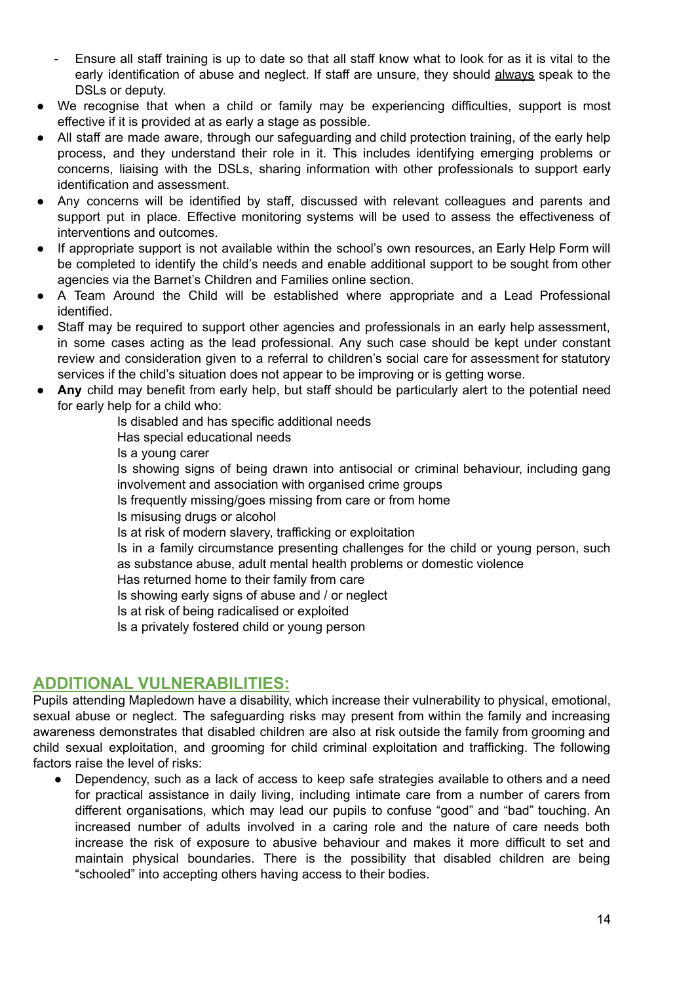- Ensure all staff training is up to date so that all staff know what to look for as it is vital to the early identification of abuse and neglect. If staff are unsure, they should always speak to the DSLs or deputy.
- We recognise that when a child or family may be experiencing difficulties, support is most effective if it is provided at as early a stage as possible.
- All staff are made aware, through our safeguarding and child protection training, of the early help process, and they understand their role in it. This includes identifying emerging problems or concerns, liaising with the DSLs, sharing information with other professionals to support early identification and assessment.
- Any concerns will be identified by staff, discussed with relevant colleagues and parents and support put in place. Effective monitoring systems will be used to assess the effectiveness of interventions and outcomes.
- If appropriate support is not available within the school's own resources, an Early Help Form will be completed to identify the child's needs and enable additional support to be sought from other agencies via the Barnet's Children and Families online section.
- A Team Around the Child will be established where appropriate and a Lead Professional identified.
- Staff may be required to support other agencies and professionals in an early help assessment, in some cases acting as the lead professional. Any such case should be kept under constant review and consideration given to a referral to children's social care for assessment for statutory services if the child's situation does not appear to be improving or is getting worse.
- Any child may benefit from early help, but staff should be particularly alert to the potential need for early help for a child who:

Is disabled and has specific additional needs Has special educational needs Is a young carer Is showing signs of being drawn into antisocial or criminal behaviour, including gang involvement and association with organised crime groups Is frequently missing/goes missing from care or from home Is misusing drugs or alcohol Is at risk of modern slavery, trafficking or exploitation Is in a family circumstance presenting challenges for the child or young person, such as substance abuse, adult mental health problems or domestic violence Has returned home to their family from care Is showing early signs of abuse and / or neglect Is at risk of being radicalised or exploited Is a privately fostered child or young person

## **ADDITIONAL VULNERABILITIES:**

Pupils attending Mapledown have a disability, which increase their vulnerability to physical, emotional, sexual abuse or neglect. The safeguarding risks may present from within the family and increasing awareness demonstrates that disabled children are also at risk outside the family from grooming and child sexual exploitation, and grooming for child criminal exploitation and trafficking. The following factors raise the level of risks:

● Dependency, such as a lack of access to keep safe strategies available to others and a need for practical assistance in daily living, including intimate care from a number of carers from different organisations, which may lead our pupils to confuse "good" and "bad" touching. An increased number of adults involved in a caring role and the nature of care needs both increase the risk of exposure to abusive behaviour and makes it more difficult to set and maintain physical boundaries. There is the possibility that disabled children are being "schooled" into accepting others having access to their bodies.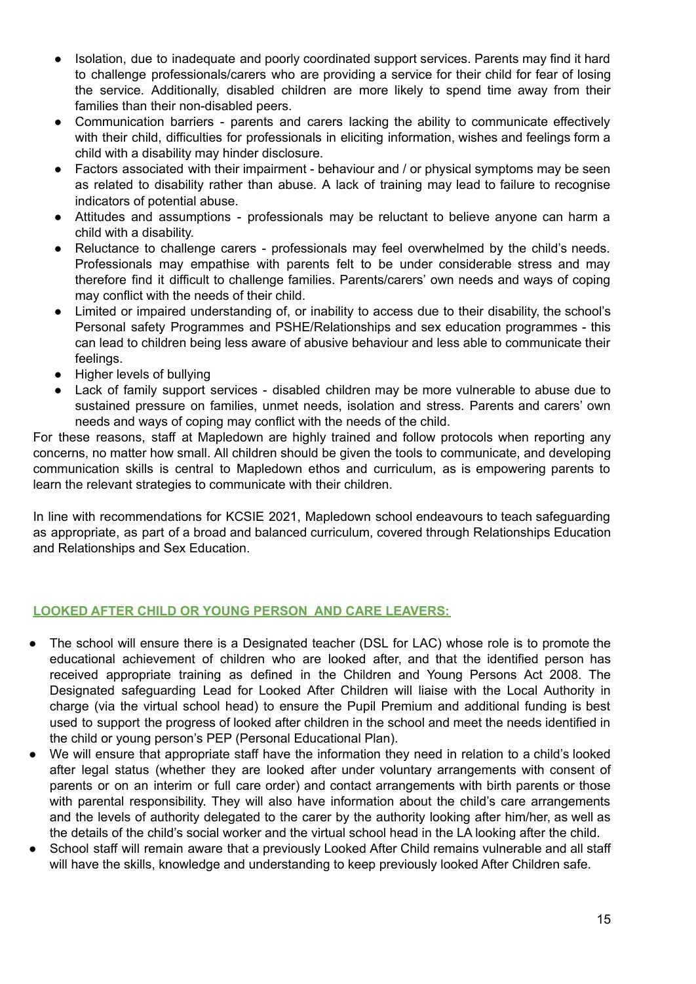- Isolation, due to inadequate and poorly coordinated support services. Parents may find it hard to challenge professionals/carers who are providing a service for their child for fear of losing the service. Additionally, disabled children are more likely to spend time away from their families than their non-disabled peers.
- Communication barriers parents and carers lacking the ability to communicate effectively with their child, difficulties for professionals in eliciting information, wishes and feelings form a child with a disability may hinder disclosure.
- Factors associated with their impairment behaviour and / or physical symptoms may be seen as related to disability rather than abuse. A lack of training may lead to failure to recognise indicators of potential abuse.
- Attitudes and assumptions professionals may be reluctant to believe anyone can harm a child with a disability.
- Reluctance to challenge carers professionals may feel overwhelmed by the child's needs. Professionals may empathise with parents felt to be under considerable stress and may therefore find it difficult to challenge families. Parents/carers' own needs and ways of coping may conflict with the needs of their child.
- Limited or impaired understanding of, or inability to access due to their disability, the school's Personal safety Programmes and PSHE/Relationships and sex education programmes - this can lead to children being less aware of abusive behaviour and less able to communicate their feelings.
- Higher levels of bullying
- Lack of family support services disabled children may be more vulnerable to abuse due to sustained pressure on families, unmet needs, isolation and stress. Parents and carers' own needs and ways of coping may conflict with the needs of the child.

For these reasons, staff at Mapledown are highly trained and follow protocols when reporting any concerns, no matter how small. All children should be given the tools to communicate, and developing communication skills is central to Mapledown ethos and curriculum, as is empowering parents to learn the relevant strategies to communicate with their children.

In line with recommendations for KCSIE 2021, Mapledown school endeavours to teach safeguarding as appropriate, as part of a broad and balanced curriculum, covered through Relationships Education and Relationships and Sex Education.

## **LOOKED AFTER CHILD OR YOUNG PERSON AND CARE LEAVERS:**

- The school will ensure there is a Designated teacher (DSL for LAC) whose role is to promote the educational achievement of children who are looked after, and that the identified person has received appropriate training as defined in the Children and Young Persons Act 2008. The Designated safeguarding Lead for Looked After Children will liaise with the Local Authority in charge (via the virtual school head) to ensure the Pupil Premium and additional funding is best used to support the progress of looked after children in the school and meet the needs identified in the child or young person's PEP (Personal Educational Plan).
- We will ensure that appropriate staff have the information they need in relation to a child's looked after legal status (whether they are looked after under voluntary arrangements with consent of parents or on an interim or full care order) and contact arrangements with birth parents or those with parental responsibility. They will also have information about the child's care arrangements and the levels of authority delegated to the carer by the authority looking after him/her, as well as the details of the child's social worker and the virtual school head in the LA looking after the child.
- School staff will remain aware that a previously Looked After Child remains vulnerable and all staff will have the skills, knowledge and understanding to keep previously looked After Children safe.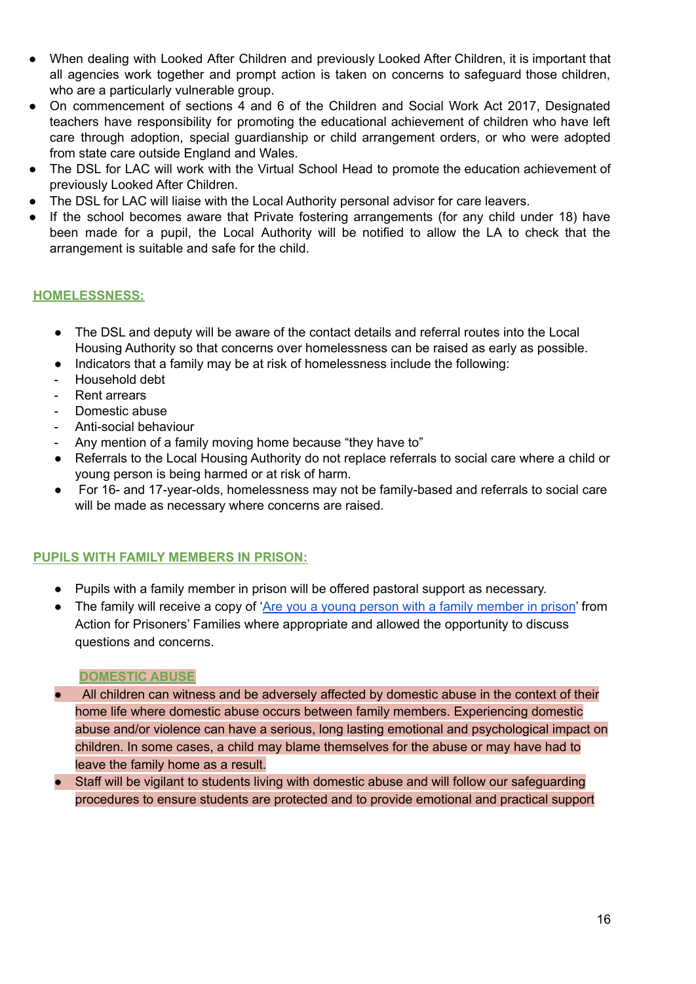- When dealing with Looked After Children and previously Looked After Children, it is important that all agencies work together and prompt action is taken on concerns to safeguard those children, who are a particularly vulnerable group.
- On commencement of sections 4 and 6 of the Children and Social Work Act 2017, Designated teachers have responsibility for promoting the educational achievement of children who have left care through adoption, special guardianship or child arrangement orders, or who were adopted from state care outside England and Wales.
- The DSL for LAC will work with the Virtual School Head to promote the education achievement of previously Looked After Children.
- The DSL for LAC will liaise with the Local Authority personal advisor for care leavers.
- If the school becomes aware that Private fostering arrangements (for any child under 18) have been made for a pupil, the Local Authority will be notified to allow the LA to check that the arrangement is suitable and safe for the child.

#### **HOMELESSNESS:**

- The DSL and deputy will be aware of the contact details and referral routes into the Local Housing Authority so that concerns over homelessness can be raised as early as possible.
- Indicators that a family may be at risk of homelessness include the following:
- Household debt
- Rent arrears
- Domestic abuse
- Anti-social behaviour
- Any mention of a family moving home because "they have to"
- Referrals to the Local Housing Authority do not replace referrals to social care where a child or young person is being harmed or at risk of harm.
- For 16- and 17-year-olds, homelessness may not be family-based and referrals to social care will be made as necessary where concerns are raised.

## **PUPILS WITH FAMILY MEMBERS IN PRISON:**

- Pupils with a family member in prison will be offered pastoral support as necessary.
- The family will receive a copy of 'Are you a young person with a family [member](https://www.nicco.org.uk/directory-of-resources) in prison' from Action for Prisoners' Families where appropriate and allowed the opportunity to discuss questions and concerns.

#### **DOMESTIC ABUSE**

- All children can witness and be adversely affected by domestic abuse in the context of their home life where domestic abuse occurs between family members. Experiencing domestic abuse and/or violence can have a serious, long lasting emotional and psychological impact on children. In some cases, a child may blame themselves for the abuse or may have had to leave the family home as a result.
- Staff will be vigilant to students living with domestic abuse and will follow our safeguarding procedures to ensure students are protected and to provide emotional and practical support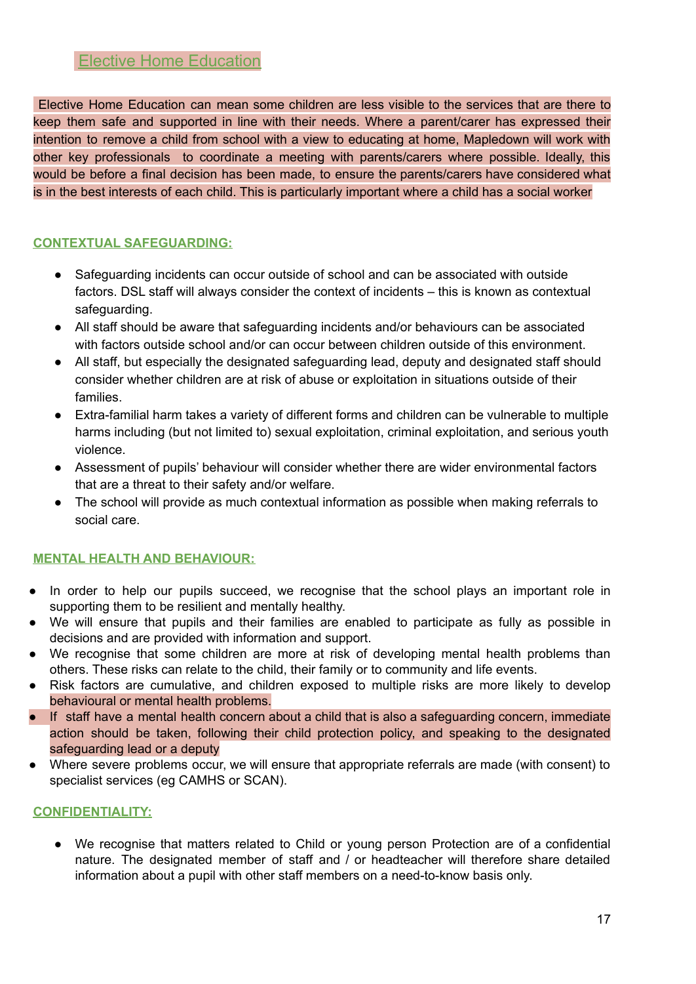## Elective Home Education

Elective Home Education can mean some children are less visible to the services that are there to keep them safe and supported in line with their needs. Where a parent/carer has expressed their intention to remove a child from school with a view to educating at home, Mapledown will work with other key professionals to coordinate a meeting with parents/carers where possible. Ideally, this would be before a final decision has been made, to ensure the parents/carers have considered what is in the best interests of each child. This is particularly important where a child has a social worker

## **CONTEXTUAL SAFEGUARDING:**

- Safeguarding incidents can occur outside of school and can be associated with outside factors. DSL staff will always consider the context of incidents – this is known as contextual safeguarding.
- All staff should be aware that safeguarding incidents and/or behaviours can be associated with factors outside school and/or can occur between children outside of this environment.
- All staff, but especially the designated safeguarding lead, deputy and designated staff should consider whether children are at risk of abuse or exploitation in situations outside of their families.
- Extra-familial harm takes a variety of different forms and children can be vulnerable to multiple harms including (but not limited to) sexual exploitation, criminal exploitation, and serious youth violence.
- Assessment of pupils' behaviour will consider whether there are wider environmental factors that are a threat to their safety and/or welfare.
- The school will provide as much contextual information as possible when making referrals to social care.

## **MENTAL HEALTH AND BEHAVIOUR:**

- In order to help our pupils succeed, we recognise that the school plays an important role in supporting them to be resilient and mentally healthy.
- We will ensure that pupils and their families are enabled to participate as fully as possible in decisions and are provided with information and support.
- We recognise that some children are more at risk of developing mental health problems than others. These risks can relate to the child, their family or to community and life events.
- Risk factors are cumulative, and children exposed to multiple risks are more likely to develop behavioural or mental health problems.
- If staff have a mental health concern about a child that is also a safeguarding concern, immediate action should be taken, following their child protection policy, and speaking to the designated safeguarding lead or a deputy
- Where severe problems occur, we will ensure that appropriate referrals are made (with consent) to specialist services (eg CAMHS or SCAN).

## **CONFIDENTIALITY:**

● We recognise that matters related to Child or young person Protection are of a confidential nature. The designated member of staff and / or headteacher will therefore share detailed information about a pupil with other staff members on a need-to-know basis only.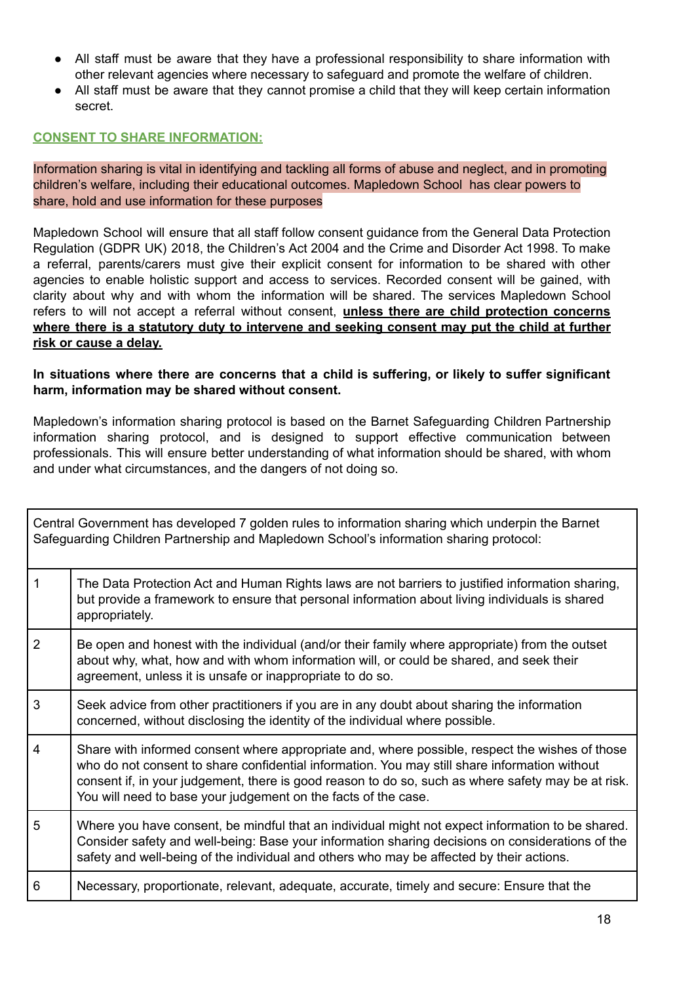- All staff must be aware that they have a professional responsibility to share information with other relevant agencies where necessary to safeguard and promote the welfare of children.
- All staff must be aware that they cannot promise a child that they will keep certain information secret.

## **CONSENT TO SHARE INFORMATION:**

Information sharing is vital in identifying and tackling all forms of abuse and neglect, and in promoting children's welfare, including their educational outcomes. Mapledown School has clear powers to share, hold and use information for these purposes

Mapledown School will ensure that all staff follow consent guidance from the General Data Protection Regulation (GDPR UK) 2018, the Children's Act 2004 and the Crime and Disorder Act 1998. To make a referral, parents/carers must give their explicit consent for information to be shared with other agencies to enable holistic support and access to services. Recorded consent will be gained, with clarity about why and with whom the information will be shared. The services Mapledown School refers to will not accept a referral without consent, **unless there are child protection concerns where there is a statutory duty to intervene and seeking consent may put the child at further risk or cause a delay.**

**In situations where there are concerns that a child is suffering, or likely to suffer significant harm, information may be shared without consent.**

Mapledown's information sharing protocol is based on the Barnet Safeguarding Children Partnership information sharing protocol, and is designed to support effective communication between professionals. This will ensure better understanding of what information should be shared, with whom and under what circumstances, and the dangers of not doing so.

|                | Central Government has developed 7 golden rules to information sharing which underpin the Barnet<br>Safeguarding Children Partnership and Mapledown School's information sharing protocol:                                                                                                                                                                              |
|----------------|-------------------------------------------------------------------------------------------------------------------------------------------------------------------------------------------------------------------------------------------------------------------------------------------------------------------------------------------------------------------------|
| $\mathbf{1}$   | The Data Protection Act and Human Rights laws are not barriers to justified information sharing,<br>but provide a framework to ensure that personal information about living individuals is shared<br>appropriately.                                                                                                                                                    |
| $\overline{2}$ | Be open and honest with the individual (and/or their family where appropriate) from the outset<br>about why, what, how and with whom information will, or could be shared, and seek their<br>agreement, unless it is unsafe or inappropriate to do so.                                                                                                                  |
| 3              | Seek advice from other practitioners if you are in any doubt about sharing the information<br>concerned, without disclosing the identity of the individual where possible.                                                                                                                                                                                              |
| $\overline{4}$ | Share with informed consent where appropriate and, where possible, respect the wishes of those<br>who do not consent to share confidential information. You may still share information without<br>consent if, in your judgement, there is good reason to do so, such as where safety may be at risk.<br>You will need to base your judgement on the facts of the case. |
| 5              | Where you have consent, be mindful that an individual might not expect information to be shared.<br>Consider safety and well-being: Base your information sharing decisions on considerations of the<br>safety and well-being of the individual and others who may be affected by their actions.                                                                        |
| 6              | Necessary, proportionate, relevant, adequate, accurate, timely and secure: Ensure that the                                                                                                                                                                                                                                                                              |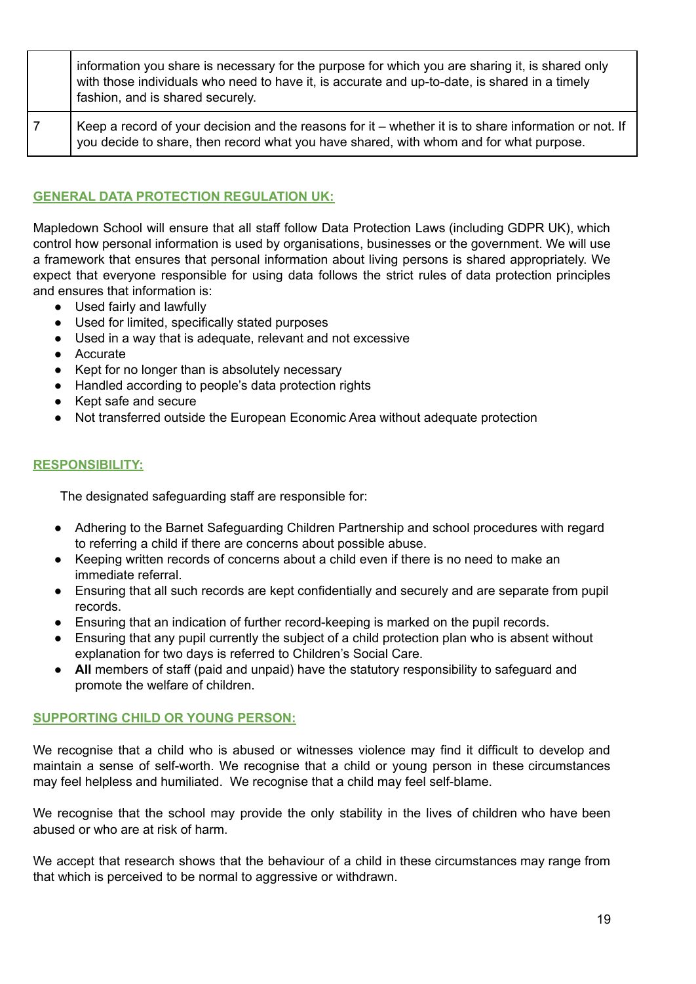| information you share is necessary for the purpose for which you are sharing it, is shared only<br>with those individuals who need to have it, is accurate and up-to-date, is shared in a timely<br>fashion, and is shared securely. |
|--------------------------------------------------------------------------------------------------------------------------------------------------------------------------------------------------------------------------------------|
| Keep a record of your decision and the reasons for it – whether it is to share information or not. If<br>you decide to share, then record what you have shared, with whom and for what purpose.                                      |

## **GENERAL DATA PROTECTION REGULATION UK:**

Mapledown School will ensure that all staff follow Data Protection Laws (including GDPR UK), which control how personal information is used by organisations, businesses or the government. We will use a framework that ensures that personal information about living persons is shared appropriately. We expect that everyone responsible for using data follows the strict rules of data protection principles and ensures that information is:

- Used fairly and lawfully
- Used for limited, specifically stated purposes
- Used in a way that is adequate, relevant and not excessive
- Accurate
- Kept for no longer than is absolutely necessary
- Handled according to people's data protection rights
- Kept safe and secure
- Not transferred outside the European Economic Area without adequate protection

## **RESPONSIBILITY:**

The designated safeguarding staff are responsible for:

- Adhering to the Barnet Safeguarding Children Partnership and school procedures with regard to referring a child if there are concerns about possible abuse.
- Keeping written records of concerns about a child even if there is no need to make an immediate referral.
- Ensuring that all such records are kept confidentially and securely and are separate from pupil records.
- Ensuring that an indication of further record-keeping is marked on the pupil records.
- Ensuring that any pupil currently the subject of a child protection plan who is absent without explanation for two days is referred to Children's Social Care.
- **All** members of staff (paid and unpaid) have the statutory responsibility to safeguard and promote the welfare of children.

#### **SUPPORTING CHILD OR YOUNG PERSON:**

We recognise that a child who is abused or witnesses violence may find it difficult to develop and maintain a sense of self-worth. We recognise that a child or young person in these circumstances may feel helpless and humiliated. We recognise that a child may feel self-blame.

We recognise that the school may provide the only stability in the lives of children who have been abused or who are at risk of harm.

We accept that research shows that the behaviour of a child in these circumstances may range from that which is perceived to be normal to aggressive or withdrawn.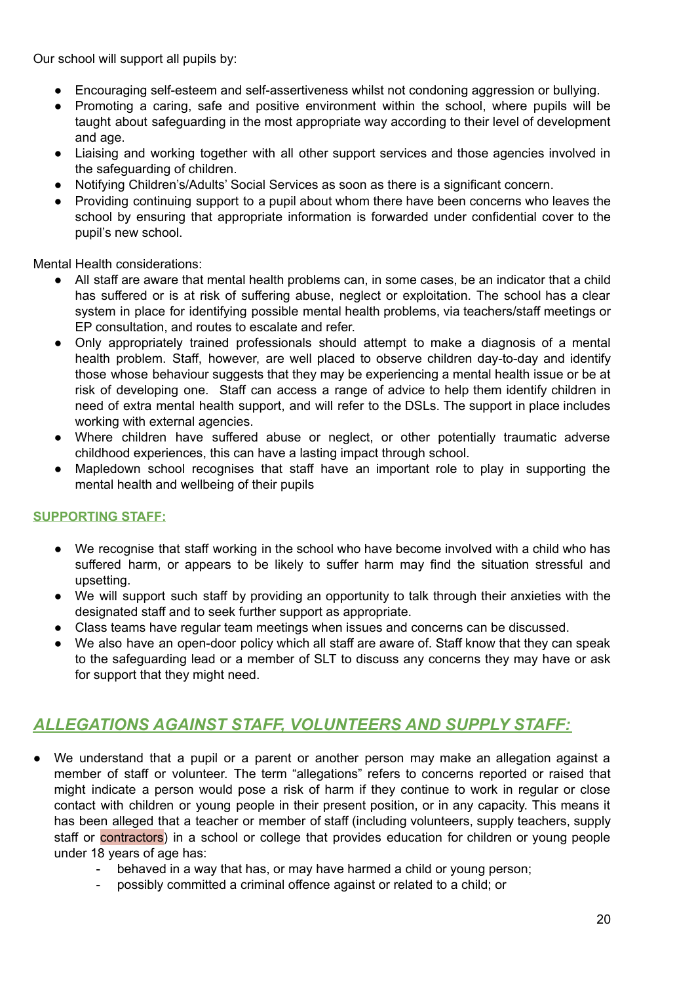Our school will support all pupils by:

- Encouraging self-esteem and self-assertiveness whilst not condoning aggression or bullying.
- Promoting a caring, safe and positive environment within the school, where pupils will be taught about safeguarding in the most appropriate way according to their level of development and age.
- Liaising and working together with all other support services and those agencies involved in the safeguarding of children.
- Notifying Children's/Adults' Social Services as soon as there is a significant concern.
- Providing continuing support to a pupil about whom there have been concerns who leaves the school by ensuring that appropriate information is forwarded under confidential cover to the pupil's new school.

Mental Health considerations:

- All staff are aware that mental health problems can, in some cases, be an indicator that a child has suffered or is at risk of suffering abuse, neglect or exploitation. The school has a clear system in place for identifying possible mental health problems, via teachers/staff meetings or EP consultation, and routes to escalate and refer.
- Only appropriately trained professionals should attempt to make a diagnosis of a mental health problem. Staff, however, are well placed to observe children day-to-day and identify those whose behaviour suggests that they may be experiencing a mental health issue or be at risk of developing one. Staff can access a range of advice to help them identify children in need of extra mental health support, and will refer to the DSLs. The support in place includes working with external agencies.
- Where children have suffered abuse or neglect, or other potentially traumatic adverse childhood experiences, this can have a lasting impact through school.
- Mapledown school recognises that staff have an important role to play in supporting the mental health and wellbeing of their pupils

## **SUPPORTING STAFF:**

- We recognise that staff working in the school who have become involved with a child who has suffered harm, or appears to be likely to suffer harm may find the situation stressful and upsetting.
- We will support such staff by providing an opportunity to talk through their anxieties with the designated staff and to seek further support as appropriate.
- Class teams have regular team meetings when issues and concerns can be discussed.
- We also have an open-door policy which all staff are aware of. Staff know that they can speak to the safeguarding lead or a member of SLT to discuss any concerns they may have or ask for support that they might need.

# *ALLEGATIONS AGAINST STAFF, VOLUNTEERS AND SUPPLY STAFF:*

- We understand that a pupil or a parent or another person may make an allegation against a member of staff or volunteer. The term "allegations" refers to concerns reported or raised that might indicate a person would pose a risk of harm if they continue to work in regular or close contact with children or young people in their present position, or in any capacity. This means it has been alleged that a teacher or member of staff (including volunteers, supply teachers, supply staff or contractors) in a school or college that provides education for children or young people under 18 years of age has:
	- behaved in a way that has, or may have harmed a child or young person;
	- possibly committed a criminal offence against or related to a child; or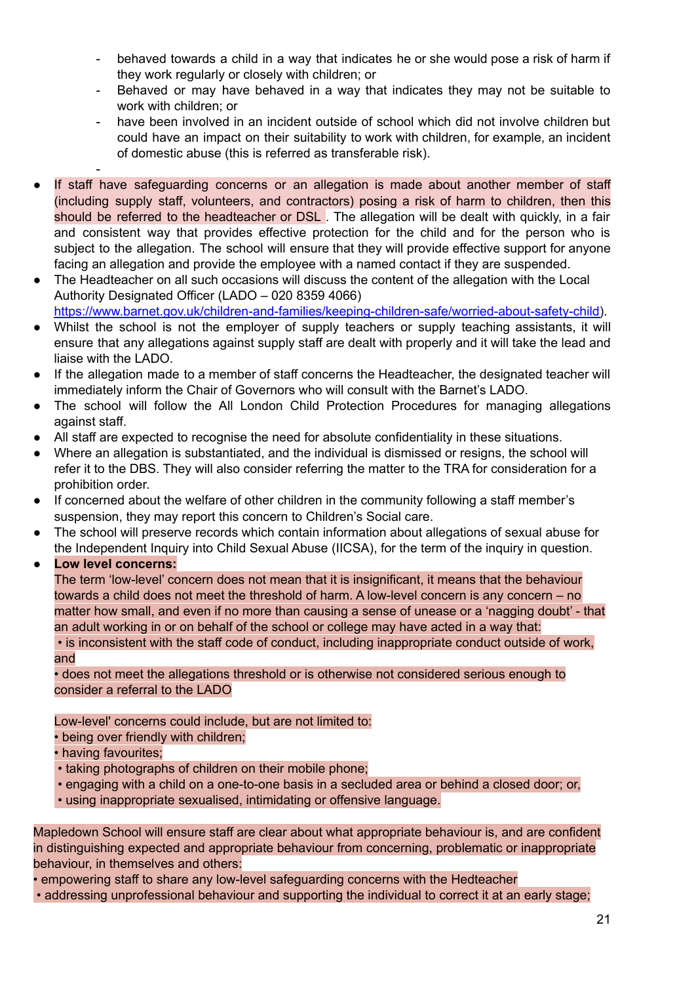- behaved towards a child in a way that indicates he or she would pose a risk of harm if they work regularly or closely with children; or
- Behaved or may have behaved in a way that indicates they may not be suitable to work with children; or
- have been involved in an incident outside of school which did not involve children but could have an impact on their suitability to work with children, for example, an incident of domestic abuse (this is referred as transferable risk).
- -
- If staff have safeguarding concerns or an allegation is made about another member of staff (including supply staff, volunteers, and contractors) posing a risk of harm to children, then this should be referred to the headteacher or DSL. The allegation will be dealt with quickly, in a fair and consistent way that provides effective protection for the child and for the person who is subject to the allegation. The school will ensure that they will provide effective support for anyone facing an allegation and provide the employee with a named contact if they are suspended.
- The Headteacher on all such occasions will discuss the content of the allegation with the Local Authority Designated Officer (LADO – 020 8359 4066) [https://www.barnet.gov.uk/children-and-families/keeping-children-safe/worried-about-safety-child\)](https://www.barnet.gov.uk/children-and-families/keeping-children-safe/worried-about-safety-child).
- Whilst the school is not the employer of supply teachers or supply teaching assistants, it will ensure that any allegations against supply staff are dealt with properly and it will take the lead and liaise with the LADO.
- If the allegation made to a member of staff concerns the Headteacher, the designated teacher will immediately inform the Chair of Governors who will consult with the Barnet's LADO.
- The school will follow the All London Child Protection Procedures for managing allegations against staff.
- All staff are expected to recognise the need for absolute confidentiality in these situations.
- Where an allegation is substantiated, and the individual is dismissed or resigns, the school will refer it to the DBS. They will also consider referring the matter to the TRA for consideration for a prohibition order.
- If concerned about the welfare of other children in the community following a staff member's suspension, they may report this concern to Children's Social care.
- The school will preserve records which contain information about allegations of sexual abuse for the Independent Inquiry into Child Sexual Abuse (IICSA), for the term of the inquiry in question.
- **● Low level concerns:**

The term 'low-level' concern does not mean that it is insignificant, it means that the behaviour towards a child does not meet the threshold of harm. A low-level concern is any concern – no matter how small, and even if no more than causing a sense of unease or a 'nagging doubt' - that an adult working in or on behalf of the school or college may have acted in a way that:

• is inconsistent with the staff code of conduct, including inappropriate conduct outside of work, and

• does not meet the allegations threshold or is otherwise not considered serious enough to consider a referral to the LADO

Low-level' concerns could include, but are not limited to:

- being over friendly with children;
- having favourites;
- taking photographs of children on their mobile phone;
- engaging with a child on a one-to-one basis in a secluded area or behind a closed door; or,
- using inappropriate sexualised, intimidating or offensive language.

Mapledown School will ensure staff are clear about what appropriate behaviour is, and are confident in distinguishing expected and appropriate behaviour from concerning, problematic or inappropriate behaviour, in themselves and others:

• empowering staff to share any low-level safeguarding concerns with the Hedteacher

• addressing unprofessional behaviour and supporting the individual to correct it at an early stage;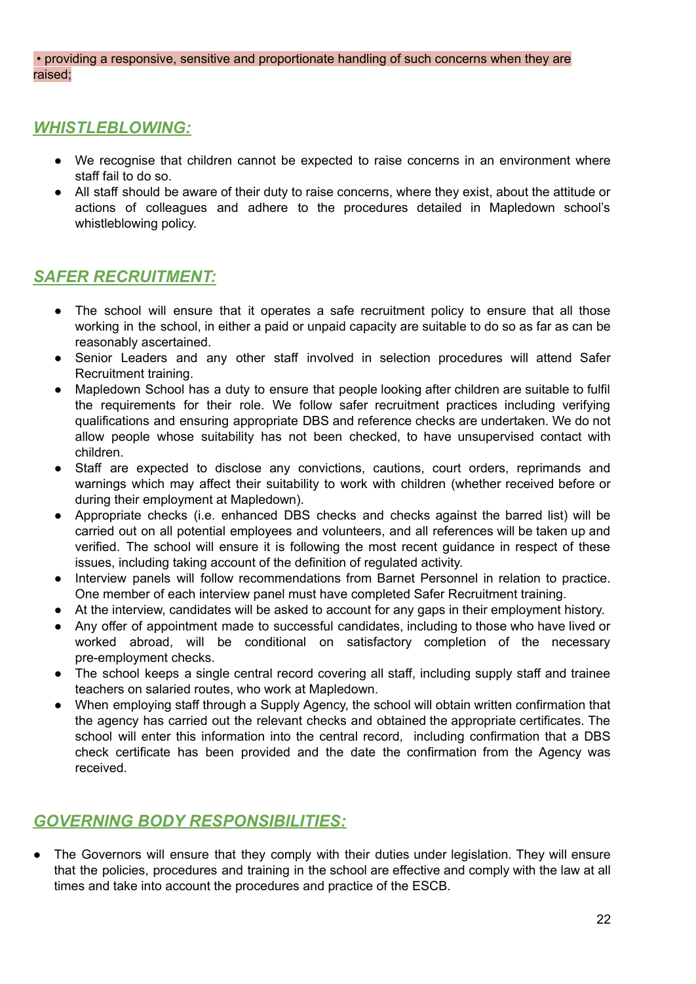• providing a responsive, sensitive and proportionate handling of such concerns when they are raised;

## *WHISTLEBLOWING:*

- We recognise that children cannot be expected to raise concerns in an environment where staff fail to do so.
- All staff should be aware of their duty to raise concerns, where they exist, about the attitude or actions of colleagues and adhere to the procedures detailed in Mapledown school's whistleblowing policy.

## *SAFER RECRUITMENT:*

- The school will ensure that it operates a safe recruitment policy to ensure that all those working in the school, in either a paid or unpaid capacity are suitable to do so as far as can be reasonably ascertained.
- Senior Leaders and any other staff involved in selection procedures will attend Safer Recruitment training.
- Mapledown School has a duty to ensure that people looking after children are suitable to fulfil the requirements for their role. We follow safer recruitment practices including verifying qualifications and ensuring appropriate DBS and reference checks are undertaken. We do not allow people whose suitability has not been checked, to have unsupervised contact with children.
- Staff are expected to disclose any convictions, cautions, court orders, reprimands and warnings which may affect their suitability to work with children (whether received before or during their employment at Mapledown).
- Appropriate checks (i.e. enhanced DBS checks and checks against the barred list) will be carried out on all potential employees and volunteers, and all references will be taken up and verified. The school will ensure it is following the most recent guidance in respect of these issues, including taking account of the definition of regulated activity.
- Interview panels will follow recommendations from Barnet Personnel in relation to practice. One member of each interview panel must have completed Safer Recruitment training.
- At the interview, candidates will be asked to account for any gaps in their employment history.
- Any offer of appointment made to successful candidates, including to those who have lived or worked abroad, will be conditional on satisfactory completion of the necessary pre-employment checks.
- The school keeps a single central record covering all staff, including supply staff and trainee teachers on salaried routes, who work at Mapledown.
- When employing staff through a Supply Agency, the school will obtain written confirmation that the agency has carried out the relevant checks and obtained the appropriate certificates. The school will enter this information into the central record, including confirmation that a DBS check certificate has been provided and the date the confirmation from the Agency was received.

# *GOVERNING BODY RESPONSIBILITIES:*

• The Governors will ensure that they comply with their duties under legislation. They will ensure that the policies, procedures and training in the school are effective and comply with the law at all times and take into account the procedures and practice of the ESCB.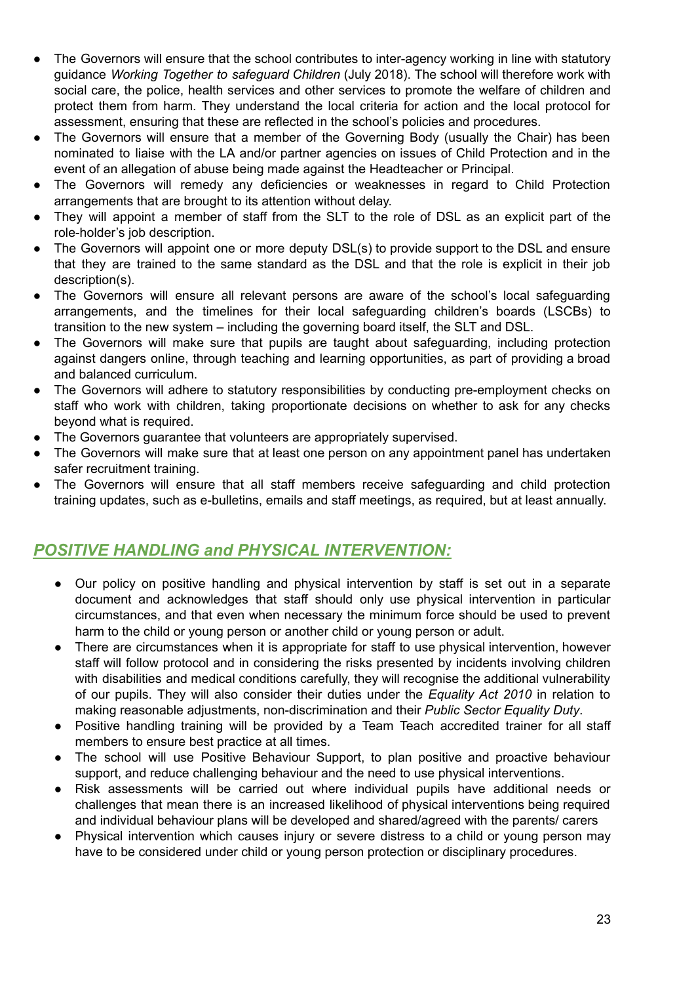- The Governors will ensure that the school contributes to inter-agency working in line with statutory guidance *Working Together to safeguard Children* (July 2018). The school will therefore work with social care, the police, health services and other services to promote the welfare of children and protect them from harm. They understand the local criteria for action and the local protocol for assessment, ensuring that these are reflected in the school's policies and procedures.
- The Governors will ensure that a member of the Governing Body (usually the Chair) has been nominated to liaise with the LA and/or partner agencies on issues of Child Protection and in the event of an allegation of abuse being made against the Headteacher or Principal.
- The Governors will remedy any deficiencies or weaknesses in regard to Child Protection arrangements that are brought to its attention without delay.
- They will appoint a member of staff from the SLT to the role of DSL as an explicit part of the role-holder's job description.
- The Governors will appoint one or more deputy DSL(s) to provide support to the DSL and ensure that they are trained to the same standard as the DSL and that the role is explicit in their job description(s).
- The Governors will ensure all relevant persons are aware of the school's local safeguarding arrangements, and the timelines for their local safeguarding children's boards (LSCBs) to transition to the new system – including the governing board itself, the SLT and DSL.
- The Governors will make sure that pupils are taught about safeguarding, including protection against dangers online, through teaching and learning opportunities, as part of providing a broad and balanced curriculum.
- The Governors will adhere to statutory responsibilities by conducting pre-employment checks on staff who work with children, taking proportionate decisions on whether to ask for any checks beyond what is required.
- The Governors guarantee that volunteers are appropriately supervised.
- The Governors will make sure that at least one person on any appointment panel has undertaken safer recruitment training.
- The Governors will ensure that all staff members receive safeguarding and child protection training updates, such as e-bulletins, emails and staff meetings, as required, but at least annually.

## *POSITIVE HANDLING and PHYSICAL INTERVENTION:*

- Our policy on positive handling and physical intervention by staff is set out in a separate document and acknowledges that staff should only use physical intervention in particular circumstances, and that even when necessary the minimum force should be used to prevent harm to the child or young person or another child or young person or adult.
- There are circumstances when it is appropriate for staff to use physical intervention, however staff will follow protocol and in considering the risks presented by incidents involving children with disabilities and medical conditions carefully, they will recognise the additional vulnerability of our pupils. They will also consider their duties under the *Equality Act 2010* in relation to making reasonable adjustments, non-discrimination and their *Public Sector Equality Duty*.
- Positive handling training will be provided by a Team Teach accredited trainer for all staff members to ensure best practice at all times.
- The school will use Positive Behaviour Support, to plan positive and proactive behaviour support, and reduce challenging behaviour and the need to use physical interventions.
- Risk assessments will be carried out where individual pupils have additional needs or challenges that mean there is an increased likelihood of physical interventions being required and individual behaviour plans will be developed and shared/agreed with the parents/ carers
- Physical intervention which causes injury or severe distress to a child or young person may have to be considered under child or young person protection or disciplinary procedures.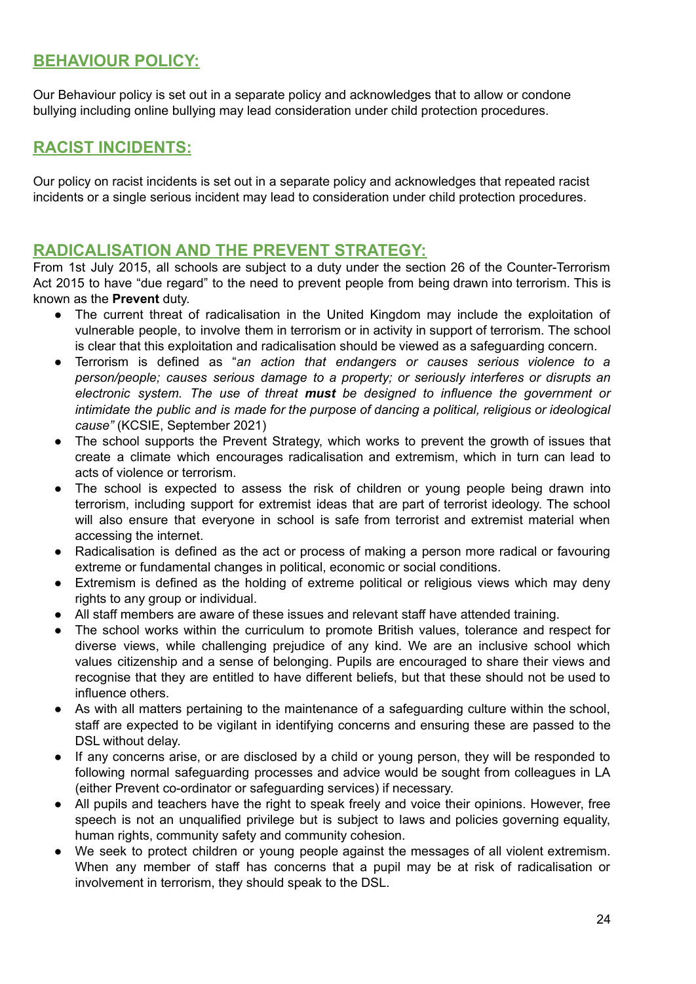## **BEHAVIOUR POLICY:**

Our Behaviour policy is set out in a separate policy and acknowledges that to allow or condone bullying including online bullying may lead consideration under child protection procedures.

## **RACIST INCIDENTS:**

Our policy on racist incidents is set out in a separate policy and acknowledges that repeated racist incidents or a single serious incident may lead to consideration under child protection procedures.

## **RADICALISATION AND THE PREVENT STRATEGY:**

From 1st July 2015, all schools are subject to a duty under the section 26 of the Counter-Terrorism Act 2015 to have "due regard" to the need to prevent people from being drawn into terrorism. This is known as the **Prevent** duty.

- The current threat of radicalisation in the United Kingdom may include the exploitation of vulnerable people, to involve them in terrorism or in activity in support of terrorism. The school is clear that this exploitation and radicalisation should be viewed as a safeguarding concern.
- Terrorism is defined as "*an action that endangers or causes serious violence to a person/people; causes serious damage to a property; or seriously interferes or disrupts an electronic system. The use of threat must be designed to influence the government or intimidate the public and is made for the purpose of dancing a political, religious or ideological cause"* (KCSIE, September 2021)
- The school supports the Prevent Strategy, which works to prevent the growth of issues that create a climate which encourages radicalisation and extremism, which in turn can lead to acts of violence or terrorism.
- The school is expected to assess the risk of children or young people being drawn into terrorism, including support for extremist ideas that are part of terrorist ideology. The school will also ensure that everyone in school is safe from terrorist and extremist material when accessing the internet.
- Radicalisation is defined as the act or process of making a person more radical or favouring extreme or fundamental changes in political, economic or social conditions.
- Extremism is defined as the holding of extreme political or religious views which may deny rights to any group or individual.
- All staff members are aware of these issues and relevant staff have attended training.
- The school works within the curriculum to promote British values, tolerance and respect for diverse views, while challenging prejudice of any kind. We are an inclusive school which values citizenship and a sense of belonging. Pupils are encouraged to share their views and recognise that they are entitled to have different beliefs, but that these should not be used to influence others.
- As with all matters pertaining to the maintenance of a safeguarding culture within the school, staff are expected to be vigilant in identifying concerns and ensuring these are passed to the DSL without delay.
- If any concerns arise, or are disclosed by a child or young person, they will be responded to following normal safeguarding processes and advice would be sought from colleagues in LA (either Prevent co-ordinator or safeguarding services) if necessary.
- All pupils and teachers have the right to speak freely and voice their opinions. However, free speech is not an unqualified privilege but is subject to laws and policies governing equality, human rights, community safety and community cohesion.
- We seek to protect children or young people against the messages of all violent extremism. When any member of staff has concerns that a pupil may be at risk of radicalisation or involvement in terrorism, they should speak to the DSL.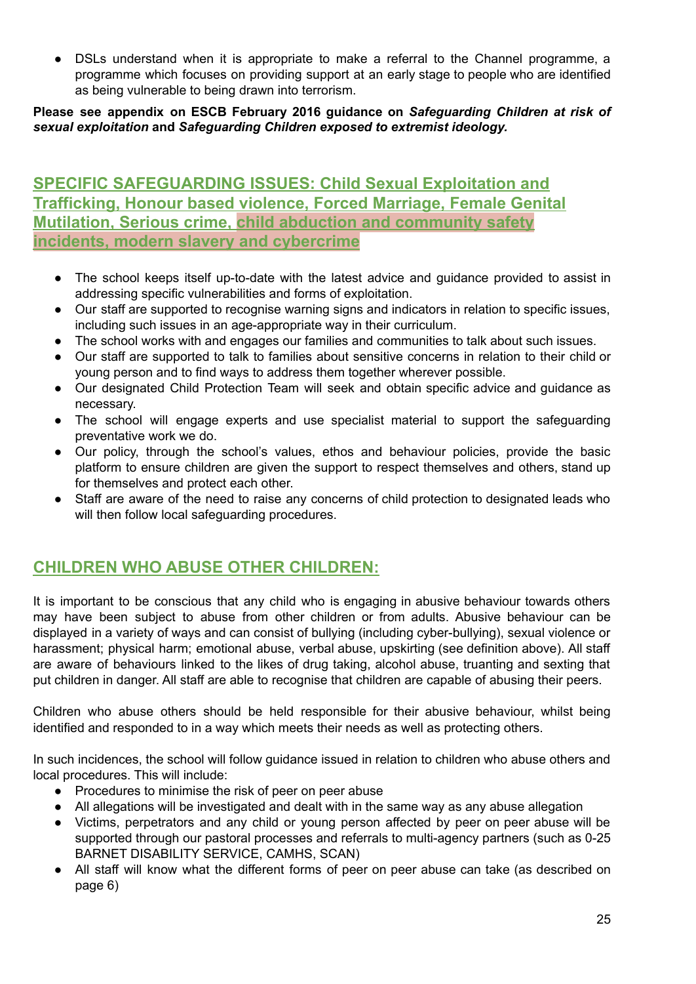• DSLs understand when it is appropriate to make a referral to the Channel programme, a programme which focuses on providing support at an early stage to people who are identified as being vulnerable to being drawn into terrorism.

## **Please see appendix on ESCB February 2016 guidance on** *Safeguarding Children at risk of sexual exploitation* **and** *Safeguarding Children exposed to extremist ideology.*

## **SPECIFIC SAFEGUARDING ISSUES: Child Sexual Exploitation and Trafficking, Honour based violence, Forced Marriage, Female Genital Mutilation, Serious crime, child abduction and community safety incidents, modern slavery and cybercrime**

- The school keeps itself up-to-date with the latest advice and guidance provided to assist in addressing specific vulnerabilities and forms of exploitation.
- Our staff are supported to recognise warning signs and indicators in relation to specific issues, including such issues in an age-appropriate way in their curriculum.
- The school works with and engages our families and communities to talk about such issues.
- Our staff are supported to talk to families about sensitive concerns in relation to their child or young person and to find ways to address them together wherever possible.
- Our designated Child Protection Team will seek and obtain specific advice and guidance as necessary.
- The school will engage experts and use specialist material to support the safeguarding preventative work we do.
- Our policy, through the school's values, ethos and behaviour policies, provide the basic platform to ensure children are given the support to respect themselves and others, stand up for themselves and protect each other.
- Staff are aware of the need to raise any concerns of child protection to designated leads who will then follow local safeguarding procedures.

# **CHILDREN WHO ABUSE OTHER CHILDREN:**

It is important to be conscious that any child who is engaging in abusive behaviour towards others may have been subject to abuse from other children or from adults. Abusive behaviour can be displayed in a variety of ways and can consist of bullying (including cyber-bullying), sexual violence or harassment; physical harm; emotional abuse, verbal abuse, upskirting (see definition above). All staff are aware of behaviours linked to the likes of drug taking, alcohol abuse, truanting and sexting that put children in danger. All staff are able to recognise that children are capable of abusing their peers.

Children who abuse others should be held responsible for their abusive behaviour, whilst being identified and responded to in a way which meets their needs as well as protecting others.

In such incidences, the school will follow guidance issued in relation to children who abuse others and local procedures. This will include:

- Procedures to minimise the risk of peer on peer abuse
- All allegations will be investigated and dealt with in the same way as any abuse allegation
- Victims, perpetrators and any child or young person affected by peer on peer abuse will be supported through our pastoral processes and referrals to multi-agency partners (such as 0-25 BARNET DISABILITY SERVICE, CAMHS, SCAN)
- All staff will know what the different forms of peer on peer abuse can take (as described on page 6)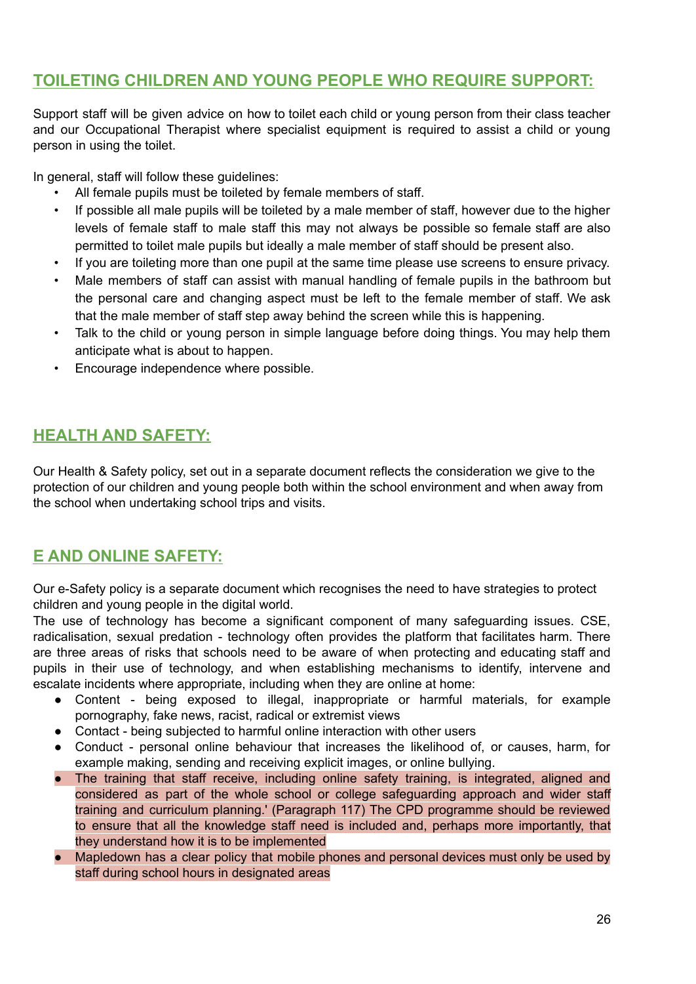## **TOILETING CHILDREN AND YOUNG PEOPLE WHO REQUIRE SUPPORT:**

Support staff will be given advice on how to toilet each child or young person from their class teacher and our Occupational Therapist where specialist equipment is required to assist a child or young person in using the toilet.

In general, staff will follow these guidelines:

- All female pupils must be toileted by female members of staff.
- If possible all male pupils will be toileted by a male member of staff, however due to the higher levels of female staff to male staff this may not always be possible so female staff are also permitted to toilet male pupils but ideally a male member of staff should be present also.
- If you are toileting more than one pupil at the same time please use screens to ensure privacy.
- Male members of staff can assist with manual handling of female pupils in the bathroom but the personal care and changing aspect must be left to the female member of staff. We ask that the male member of staff step away behind the screen while this is happening.
- Talk to the child or young person in simple language before doing things. You may help them anticipate what is about to happen.
- Encourage independence where possible.

# **HEALTH AND SAFETY:**

Our Health & Safety policy, set out in a separate document reflects the consideration we give to the protection of our children and young people both within the school environment and when away from the school when undertaking school trips and visits.

## **E AND ONLINE SAFETY:**

Our e-Safety policy is a separate document which recognises the need to have strategies to protect children and young people in the digital world.

The use of technology has become a significant component of many safeguarding issues. CSE, radicalisation, sexual predation - technology often provides the platform that facilitates harm. There are three areas of risks that schools need to be aware of when protecting and educating staff and pupils in their use of technology, and when establishing mechanisms to identify, intervene and escalate incidents where appropriate, including when they are online at home:

- Content being exposed to illegal, inappropriate or harmful materials, for example pornography, fake news, racist, radical or extremist views
- Contact being subjected to harmful online interaction with other users
- Conduct personal online behaviour that increases the likelihood of, or causes, harm, for example making, sending and receiving explicit images, or online bullying.
- The training that staff receive, including online safety training, is integrated, aligned and considered as part of the whole school or college safeguarding approach and wider staff training and curriculum planning.' (Paragraph 117) The CPD programme should be reviewed to ensure that all the knowledge staff need is included and, perhaps more importantly, that they understand how it is to be implemented
- Mapledown has a clear policy that mobile phones and personal devices must only be used by staff during school hours in designated areas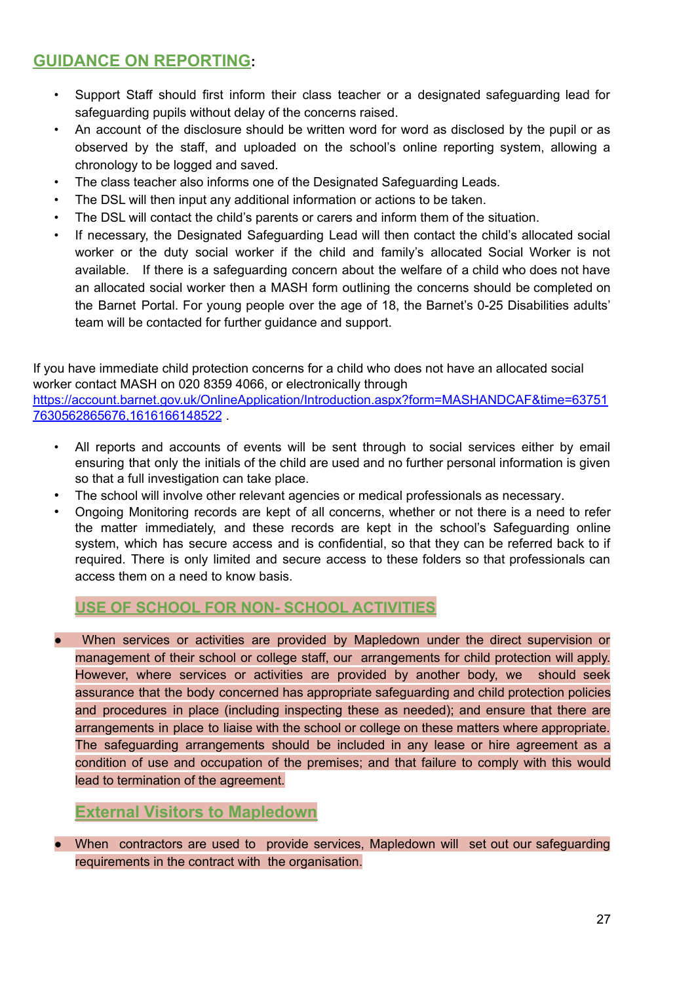# **GUIDANCE ON REPORTING:**

- Support Staff should first inform their class teacher or a designated safeguarding lead for safeguarding pupils without delay of the concerns raised.
- An account of the disclosure should be written word for word as disclosed by the pupil or as observed by the staff, and uploaded on the school's online reporting system, allowing a chronology to be logged and saved.
- The class teacher also informs one of the Designated Safeguarding Leads.
- The DSL will then input any additional information or actions to be taken.
- The DSL will contact the child's parents or carers and inform them of the situation.
- If necessary, the Designated Safeguarding Lead will then contact the child's allocated social worker or the duty social worker if the child and family's allocated Social Worker is not available. If there is a safeguarding concern about the welfare of a child who does not have an allocated social worker then a MASH form outlining the concerns should be completed on the Barnet Portal. For young people over the age of 18, the Barnet's 0-25 Disabilities adults' team will be contacted for further guidance and support.

If you have immediate child protection concerns for a child who does not have an allocated social worker contact MASH on 020 8359 4066, or electronically through [https://account.barnet.gov.uk/OnlineApplication/Introduction.aspx?form=MASHANDCAF&time=63751](https://account.barnet.gov.uk/OnlineApplication/Introduction.aspx?form=MASHANDCAF&time=637517630562865676,1616166148522) [7630562865676,1616166148522](https://account.barnet.gov.uk/OnlineApplication/Introduction.aspx?form=MASHANDCAF&time=637517630562865676,1616166148522) .

- All reports and accounts of events will be sent through to social services either by email ensuring that only the initials of the child are used and no further personal information is given so that a full investigation can take place.
- The school will involve other relevant agencies or medical professionals as necessary.
- Ongoing Monitoring records are kept of all concerns, whether or not there is a need to refer the matter immediately, and these records are kept in the school's Safeguarding online system, which has secure access and is confidential, so that they can be referred back to if required. There is only limited and secure access to these folders so that professionals can access them on a need to know basis.

## **USE OF SCHOOL FOR NON- SCHOOL ACTIVITIES**

When services or activities are provided by Mapledown under the direct supervision or management of their school or college staff, our arrangements for child protection will apply. However, where services or activities are provided by another body, we should seek assurance that the body concerned has appropriate safeguarding and child protection policies and procedures in place (including inspecting these as needed); and ensure that there are arrangements in place to liaise with the school or college on these matters where appropriate. The safeguarding arrangements should be included in any lease or hire agreement as a condition of use and occupation of the premises; and that failure to comply with this would lead to termination of the agreement.

## **External Visitors to Mapledown**

When contractors are used to provide services, Mapledown will set out our safeguarding requirements in the contract with the organisation.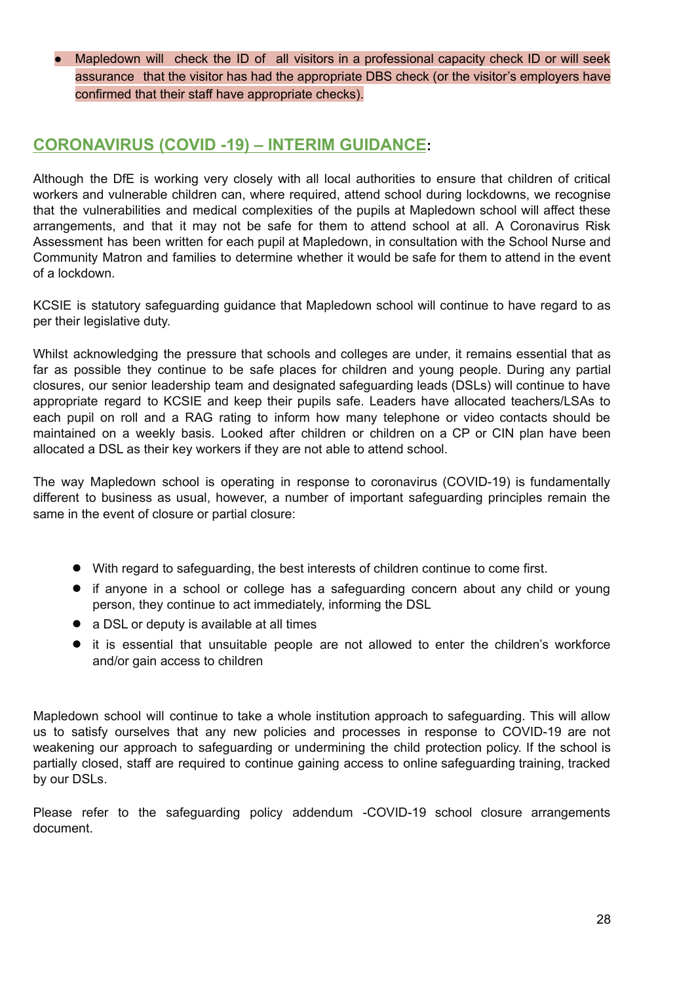Mapledown will check the ID of all visitors in a professional capacity check ID or will seek assurance that the visitor has had the appropriate DBS check (or the visitor's employers have confirmed that their staff have appropriate checks).

## **CORONAVIRUS (COVID -19) – INTERIM GUIDANCE:**

Although the DfE is working very closely with all local authorities to ensure that children of critical workers and vulnerable children can, where required, attend school during lockdowns, we recognise that the vulnerabilities and medical complexities of the pupils at Mapledown school will affect these arrangements, and that it may not be safe for them to attend school at all. A Coronavirus Risk Assessment has been written for each pupil at Mapledown, in consultation with the School Nurse and Community Matron and families to determine whether it would be safe for them to attend in the event of a lockdown.

KCSIE is statutory safeguarding guidance that Mapledown school will continue to have regard to as per their legislative duty.

Whilst acknowledging the pressure that schools and colleges are under, it remains essential that as far as possible they continue to be safe places for children and young people. During any partial closures, our senior leadership team and designated safeguarding leads (DSLs) will continue to have appropriate regard to KCSIE and keep their pupils safe. Leaders have allocated teachers/LSAs to each pupil on roll and a RAG rating to inform how many telephone or video contacts should be maintained on a weekly basis. Looked after children or children on a CP or CIN plan have been allocated a DSL as their key workers if they are not able to attend school.

The way Mapledown school is operating in response to coronavirus (COVID-19) is fundamentally different to business as usual, however, a number of important safeguarding principles remain the same in the event of closure or partial closure:

- With regard to safeguarding, the best interests of children continue to come first.
- if anyone in a school or college has a safeguarding concern about any child or young person, they continue to act immediately, informing the DSL
- a DSL or deputy is available at all times
- it is essential that unsuitable people are not allowed to enter the children's workforce and/or gain access to children

Mapledown school will continue to take a whole institution approach to safeguarding. This will allow us to satisfy ourselves that any new policies and processes in response to COVID-19 are not weakening our approach to safeguarding or undermining the child protection policy. If the school is partially closed, staff are required to continue gaining access to online safeguarding training, tracked by our DSLs.

Please refer to the safeguarding policy addendum -COVID-19 school closure arrangements document.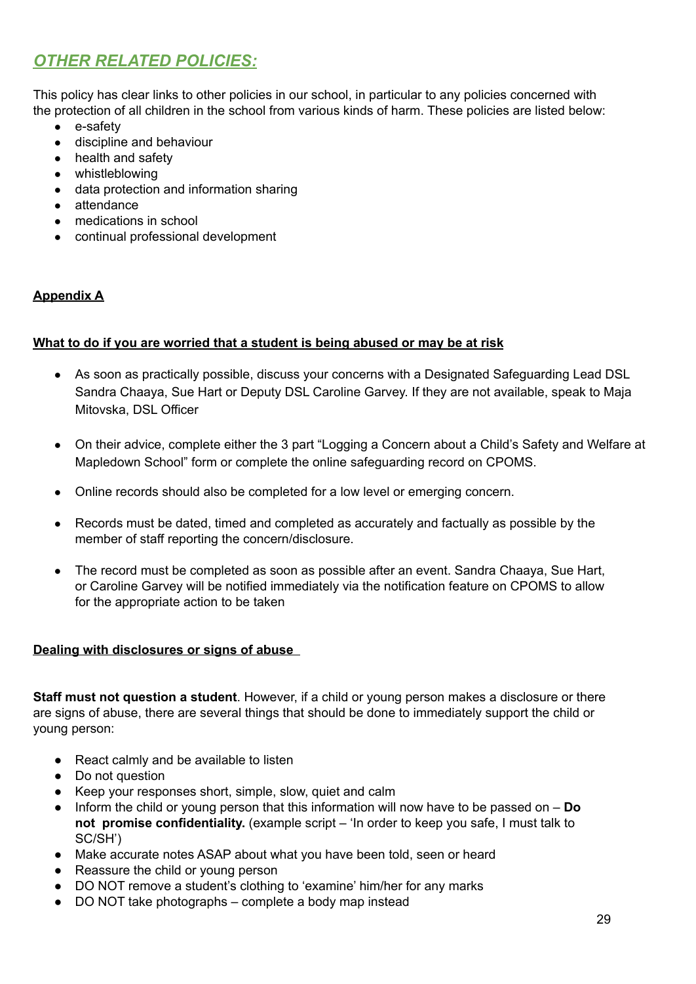# *OTHER RELATED POLICIES:*

This policy has clear links to other policies in our school, in particular to any policies concerned with the protection of all children in the school from various kinds of harm. These policies are listed below:

- e-safety
- discipline and behaviour
- health and safety
- whistleblowing
- data protection and information sharing
- attendance
- medications in school
- continual professional development

## **Appendix A**

#### **What to do if you are worried that a student is being abused or may be at risk**

- As soon as practically possible, discuss your concerns with a Designated Safeguarding Lead DSL Sandra Chaaya, Sue Hart or Deputy DSL Caroline Garvey. If they are not available, speak to Maja Mitovska, DSL Officer
- On their advice, complete either the 3 part "Logging a Concern about a Child's Safety and Welfare at Mapledown School" form or complete the online safeguarding record on CPOMS.
- Online records should also be completed for a low level or emerging concern.
- Records must be dated, timed and completed as accurately and factually as possible by the member of staff reporting the concern/disclosure.
- The record must be completed as soon as possible after an event. Sandra Chaaya, Sue Hart, or Caroline Garvey will be notified immediately via the notification feature on CPOMS to allow for the appropriate action to be taken

#### **Dealing with disclosures or signs of abuse**

**Staff must not question a student**. However, if a child or young person makes a disclosure or there are signs of abuse, there are several things that should be done to immediately support the child or young person:

- React calmly and be available to listen
- Do not question
- Keep your responses short, simple, slow, quiet and calm
- Inform the child or young person that this information will now have to be passed on **Do not promise confidentiality.** (example script – 'In order to keep you safe, I must talk to SC/SH')
- Make accurate notes ASAP about what you have been told, seen or heard
- Reassure the child or young person
- DO NOT remove a student's clothing to 'examine' him/her for any marks
- DO NOT take photographs complete a body map instead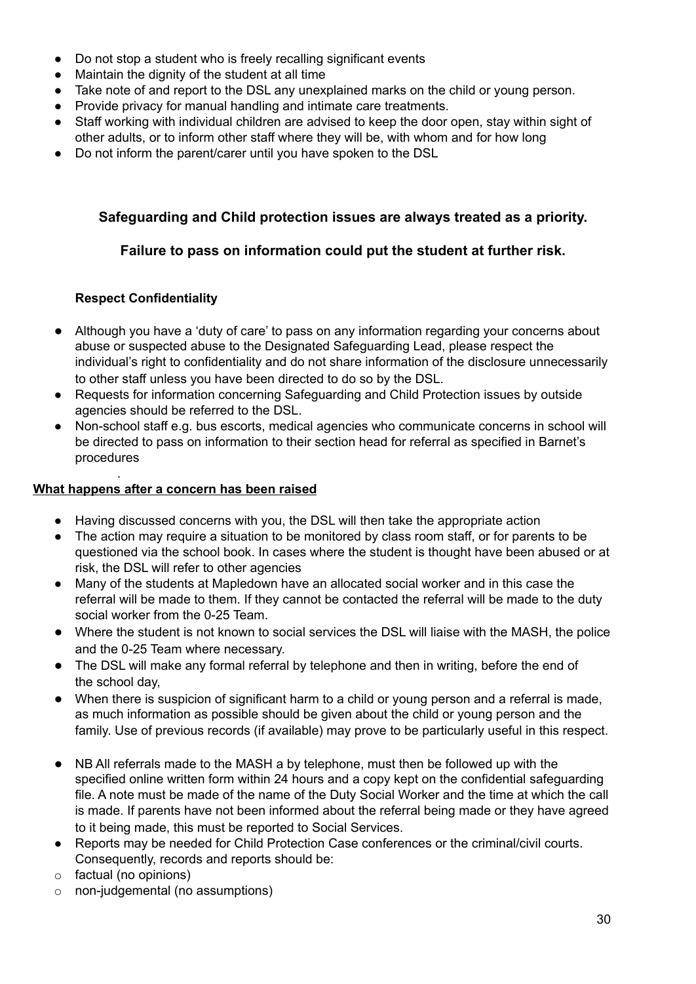- Do not stop a student who is freely recalling significant events
- Maintain the dignity of the student at all time
- Take note of and report to the DSL any unexplained marks on the child or young person.
- Provide privacy for manual handling and intimate care treatments.
- Staff working with individual children are advised to keep the door open, stay within sight of other adults, or to inform other staff where they will be, with whom and for how long
- Do not inform the parent/carer until you have spoken to the DSL

## **Safeguarding and Child protection issues are always treated as a priority.**

## **Failure to pass on information could put the student at further risk.**

## **Respect Confidentiality**

- Although you have a 'duty of care' to pass on any information regarding your concerns about abuse or suspected abuse to the Designated Safeguarding Lead, please respect the individual's right to confidentiality and do not share information of the disclosure unnecessarily to other staff unless you have been directed to do so by the DSL.
- Requests for information concerning Safeguarding and Child Protection issues by outside agencies should be referred to the DSL.
- Non-school staff e.g. bus escorts, medical agencies who communicate concerns in school will be directed to pass on information to their section head for referral as specified in Barnet's procedures

#### . **What happens after a concern has been raised**

- Having discussed concerns with you, the DSL will then take the appropriate action
- The action may require a situation to be monitored by class room staff, or for parents to be questioned via the school book. In cases where the student is thought have been abused or at risk, the DSL will refer to other agencies
- Many of the students at Mapledown have an allocated social worker and in this case the referral will be made to them. If they cannot be contacted the referral will be made to the duty social worker from the 0-25 Team.
- Where the student is not known to social services the DSL will liaise with the MASH, the police and the 0-25 Team where necessary.
- The DSL will make any formal referral by telephone and then in writing, before the end of the school day,
- When there is suspicion of significant harm to a child or young person and a referral is made, as much information as possible should be given about the child or young person and the family. Use of previous records (if available) may prove to be particularly useful in this respect.
- NB All referrals made to the MASH a by telephone, must then be followed up with the specified online written form within 24 hours and a copy kept on the confidential safeguarding file. A note must be made of the name of the Duty Social Worker and the time at which the call is made. If parents have not been informed about the referral being made or they have agreed to it being made, this must be reported to Social Services.
- Reports may be needed for Child Protection Case conferences or the criminal/civil courts. Consequently, records and reports should be:
- o factual (no opinions)
- o non-judgemental (no assumptions)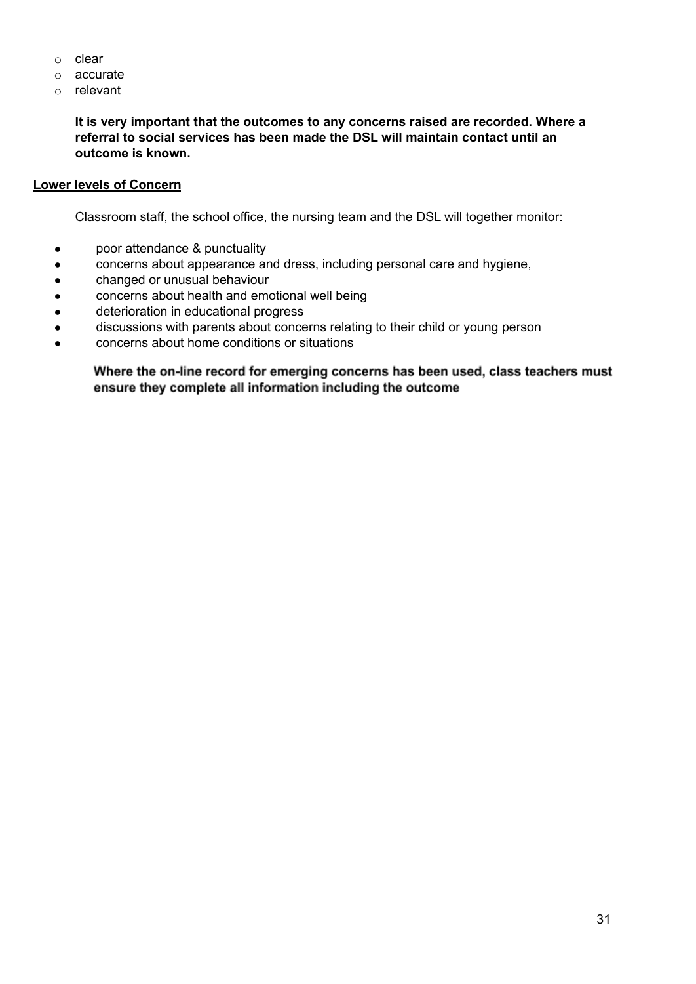- o clear
- o accurate
- o relevant

**It is very important that the outcomes to any concerns raised are recorded. Where a referral to social services has been made the DSL will maintain contact until an outcome is known.**

#### **Lower levels of Concern**

Classroom staff, the school office, the nursing team and the DSL will together monitor:

- poor attendance & punctuality
- concerns about appearance and dress, including personal care and hygiene,
- changed or unusual behaviour
- concerns about health and emotional well being
- deterioration in educational progress
- discussions with parents about concerns relating to their child or young person
- <span id="page-31-0"></span>● concerns about home conditions or situations

Where the on-line record for emerging concerns has been used, class teachers must ensure they complete all information including the outcome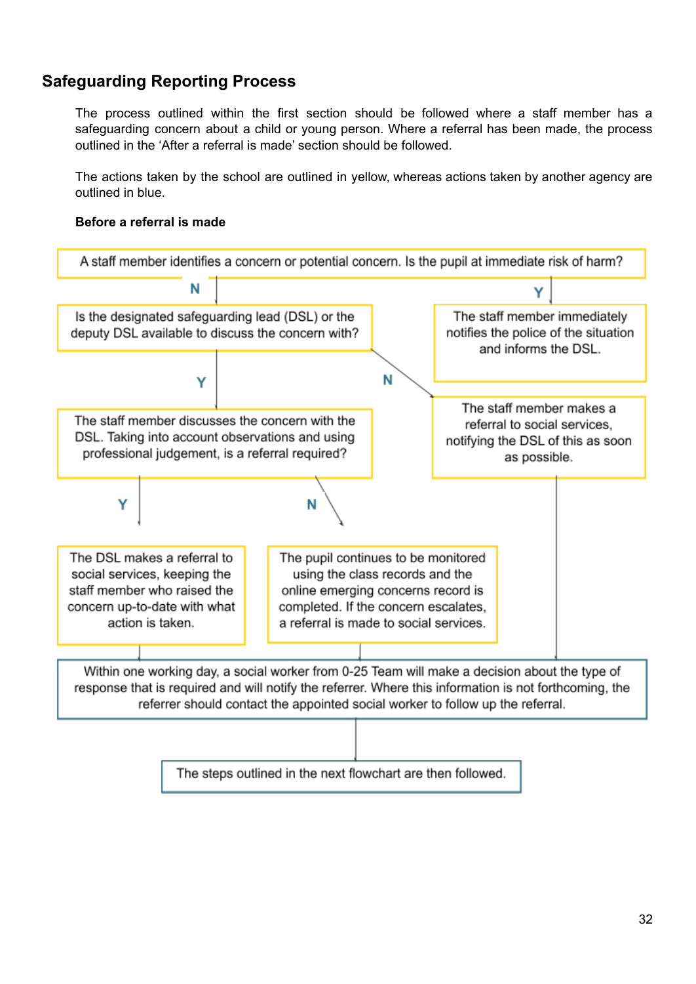## **Safeguarding Reporting Process**

The process outlined within the first section should be followed where a staff member has a safeguarding concern about a child or young person. Where a referral has been made, the process outlined in the 'After a referral is made' section should be followed.

The actions taken by the school are outlined in yellow, whereas actions taken by another agency are outlined in blue.

## **Before a referral is made**

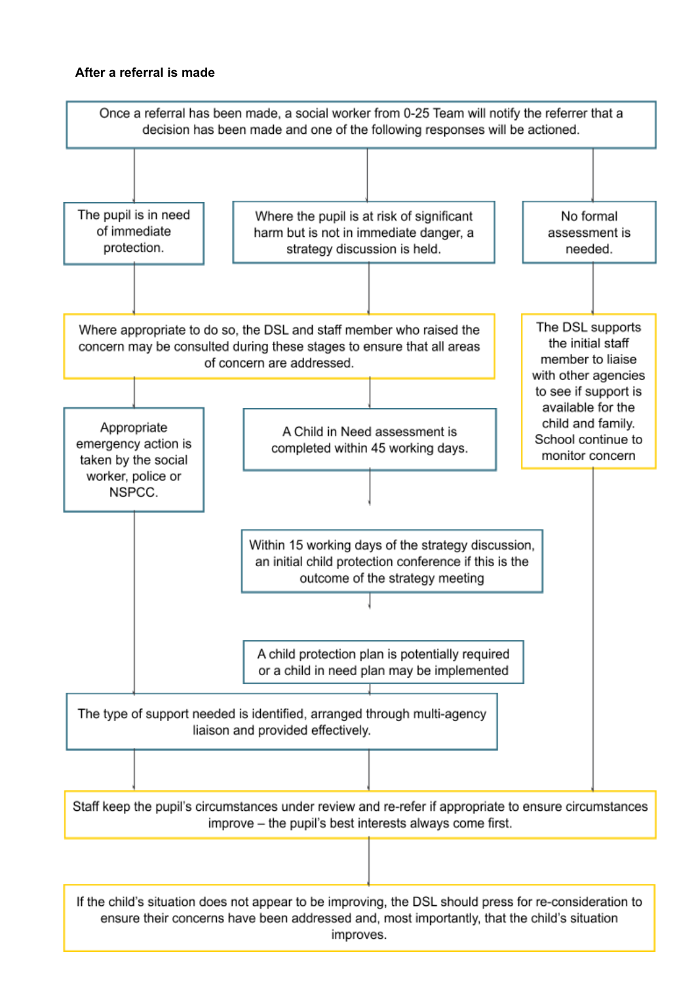#### **After a referral is made**



improves.